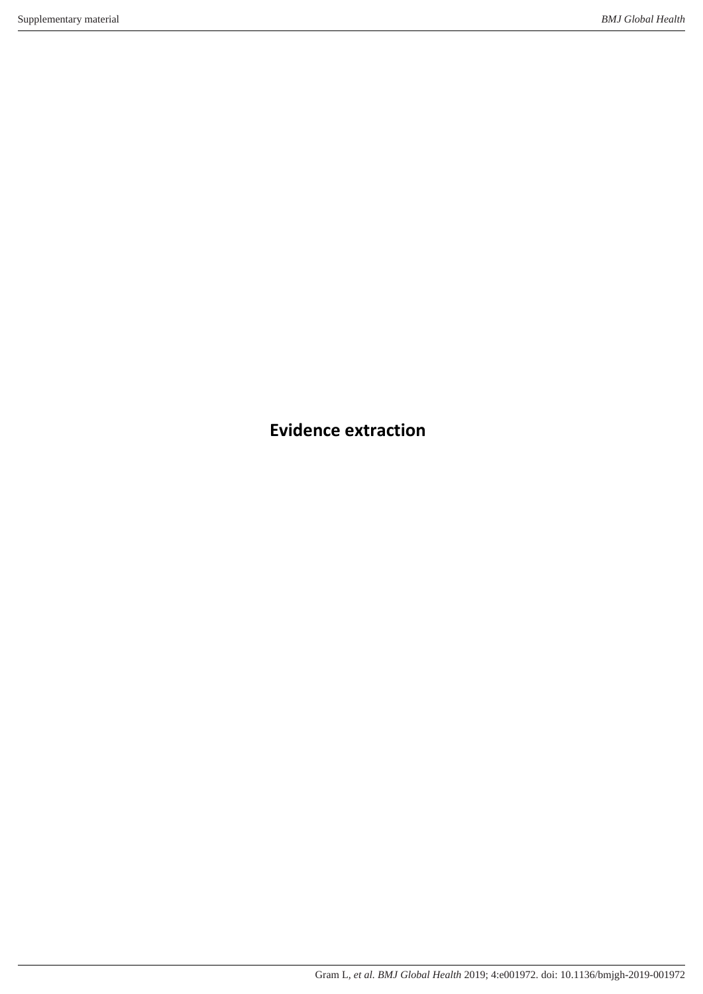**Evidence extraction**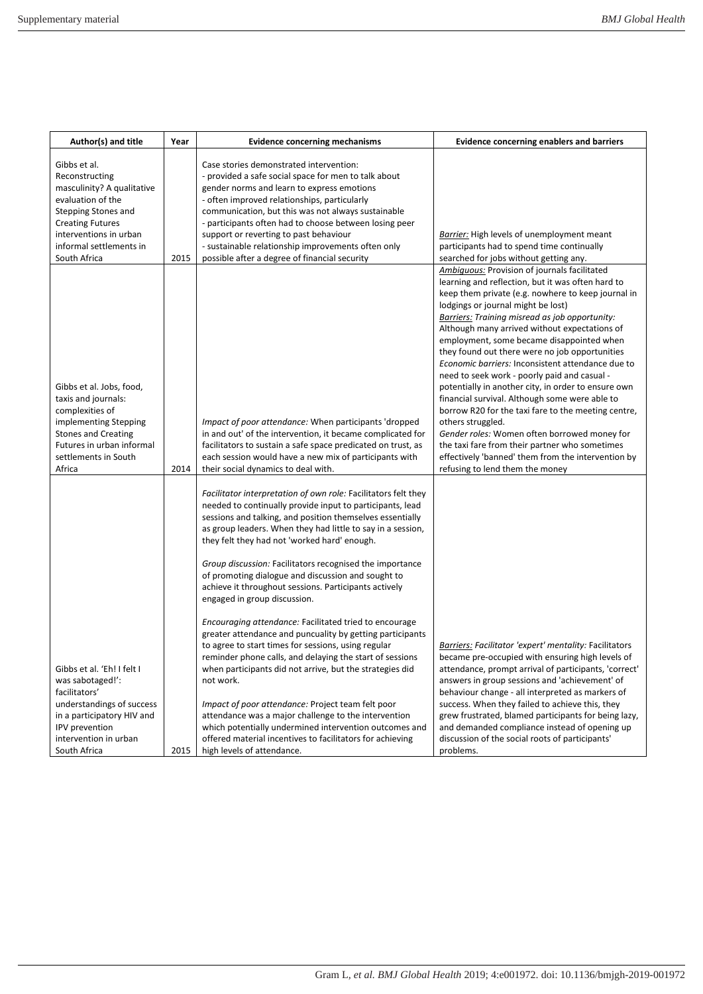| Author(s) and title                                                                                                                                                                                      | Year | <b>Evidence concerning mechanisms</b>                                                                                                                                                                                                                                                                                                                                                                                                                                                                                                                                                                                                                                                                                                                                                                                                                                                                                                                                                                                                                                                                   | <b>Evidence concerning enablers and barriers</b>                                                                                                                                                                                                                                                                                                                                                                                                                                                                                                                                                                                                                                                                                                                                                                                                                                            |
|----------------------------------------------------------------------------------------------------------------------------------------------------------------------------------------------------------|------|---------------------------------------------------------------------------------------------------------------------------------------------------------------------------------------------------------------------------------------------------------------------------------------------------------------------------------------------------------------------------------------------------------------------------------------------------------------------------------------------------------------------------------------------------------------------------------------------------------------------------------------------------------------------------------------------------------------------------------------------------------------------------------------------------------------------------------------------------------------------------------------------------------------------------------------------------------------------------------------------------------------------------------------------------------------------------------------------------------|---------------------------------------------------------------------------------------------------------------------------------------------------------------------------------------------------------------------------------------------------------------------------------------------------------------------------------------------------------------------------------------------------------------------------------------------------------------------------------------------------------------------------------------------------------------------------------------------------------------------------------------------------------------------------------------------------------------------------------------------------------------------------------------------------------------------------------------------------------------------------------------------|
| Gibbs et al.<br>Reconstructing<br>masculinity? A qualitative<br>evaluation of the<br>Stepping Stones and<br><b>Creating Futures</b><br>interventions in urban<br>informal settlements in<br>South Africa | 2015 | Case stories demonstrated intervention:<br>- provided a safe social space for men to talk about<br>gender norms and learn to express emotions<br>- often improved relationships, particularly<br>communication, but this was not always sustainable<br>- participants often had to choose between losing peer<br>support or reverting to past behaviour<br>- sustainable relationship improvements often only<br>possible after a degree of financial security                                                                                                                                                                                                                                                                                                                                                                                                                                                                                                                                                                                                                                          | <b>Barrier:</b> High levels of unemployment meant<br>participants had to spend time continually<br>searched for jobs without getting any.                                                                                                                                                                                                                                                                                                                                                                                                                                                                                                                                                                                                                                                                                                                                                   |
| Gibbs et al. Jobs, food,<br>taxis and journals:<br>complexities of<br>implementing Stepping<br><b>Stones and Creating</b><br>Futures in urban informal<br>settlements in South<br>Africa                 | 2014 | Impact of poor attendance: When participants 'dropped<br>in and out' of the intervention, it became complicated for<br>facilitators to sustain a safe space predicated on trust, as<br>each session would have a new mix of participants with<br>their social dynamics to deal with.                                                                                                                                                                                                                                                                                                                                                                                                                                                                                                                                                                                                                                                                                                                                                                                                                    | Ambiquous: Provision of journals facilitated<br>learning and reflection, but it was often hard to<br>keep them private (e.g. nowhere to keep journal in<br>lodgings or journal might be lost)<br><b>Barriers:</b> Training misread as job opportunity:<br>Although many arrived without expectations of<br>employment, some became disappointed when<br>they found out there were no job opportunities<br>Economic barriers: Inconsistent attendance due to<br>need to seek work - poorly paid and casual -<br>potentially in another city, in order to ensure own<br>financial survival. Although some were able to<br>borrow R20 for the taxi fare to the meeting centre,<br>others struggled.<br>Gender roles: Women often borrowed money for<br>the taxi fare from their partner who sometimes<br>effectively 'banned' them from the intervention by<br>refusing to lend them the money |
| Gibbs et al. 'Eh! I felt I<br>was sabotaged!':<br>facilitators'<br>understandings of success<br>in a participatory HIV and<br>IPV prevention<br>intervention in urban<br>South Africa                    | 2015 | Facilitator interpretation of own role: Facilitators felt they<br>needed to continually provide input to participants, lead<br>sessions and talking, and position themselves essentially<br>as group leaders. When they had little to say in a session,<br>they felt they had not 'worked hard' enough.<br>Group discussion: Facilitators recognised the importance<br>of promoting dialogue and discussion and sought to<br>achieve it throughout sessions. Participants actively<br>engaged in group discussion.<br>Encouraging attendance: Facilitated tried to encourage<br>greater attendance and puncuality by getting participants<br>to agree to start times for sessions, using regular<br>reminder phone calls, and delaying the start of sessions<br>when participants did not arrive, but the strategies did<br>not work.<br>Impact of poor attendance: Project team felt poor<br>attendance was a major challenge to the intervention<br>which potentially undermined intervention outcomes and<br>offered material incentives to facilitators for achieving<br>high levels of attendance. | Barriers: Facilitator 'expert' mentality: Facilitators<br>became pre-occupied with ensuring high levels of<br>attendance, prompt arrival of participants, 'correct'<br>answers in group sessions and 'achievement' of<br>behaviour change - all interpreted as markers of<br>success. When they failed to achieve this, they<br>grew frustrated, blamed participants for being lazy,<br>and demanded compliance instead of opening up<br>discussion of the social roots of participants'<br>problems.                                                                                                                                                                                                                                                                                                                                                                                       |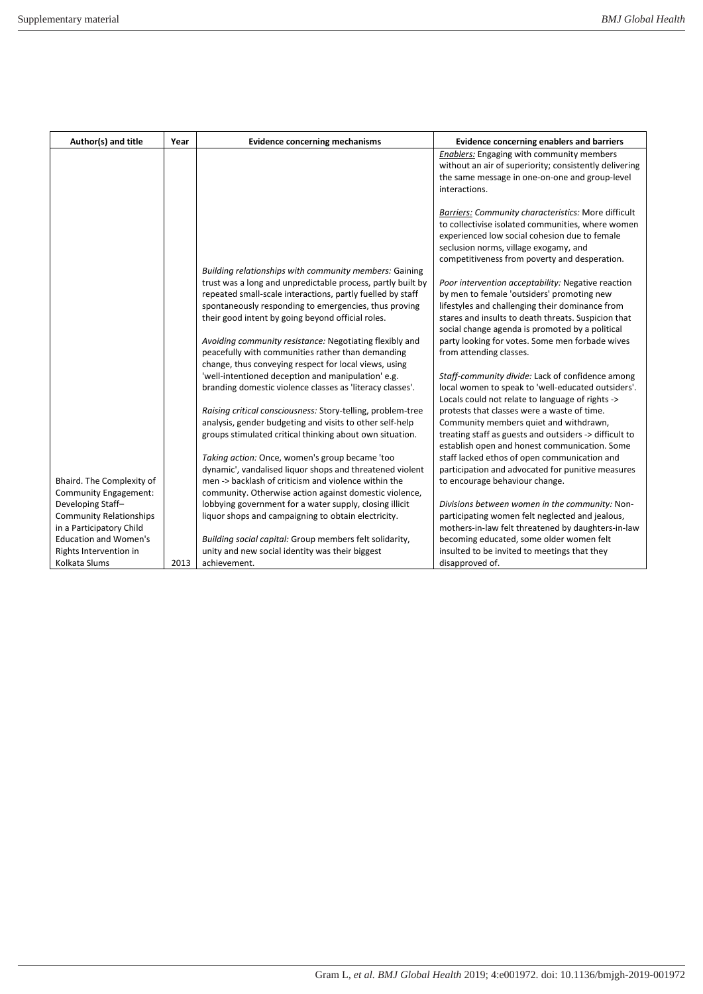| Author(s) and title            | Year | <b>Evidence concerning mechanisms</b>                       | <b>Evidence concerning enablers and barriers</b>       |
|--------------------------------|------|-------------------------------------------------------------|--------------------------------------------------------|
|                                |      |                                                             | <b>Enablers: Engaging with community members</b>       |
|                                |      |                                                             | without an air of superiority; consistently delivering |
|                                |      |                                                             | the same message in one-on-one and group-level         |
|                                |      |                                                             | interactions.                                          |
|                                |      |                                                             | Barriers: Community characteristics: More difficult    |
|                                |      |                                                             | to collectivise isolated communities, where women      |
|                                |      |                                                             | experienced low social cohesion due to female          |
|                                |      |                                                             | seclusion norms, village exogamy, and                  |
|                                |      |                                                             | competitiveness from poverty and desperation.          |
|                                |      | Building relationships with community members: Gaining      |                                                        |
|                                |      | trust was a long and unpredictable process, partly built by | Poor intervention acceptability: Negative reaction     |
|                                |      | repeated small-scale interactions, partly fuelled by staff  | by men to female 'outsiders' promoting new             |
|                                |      | spontaneously responding to emergencies, thus proving       | lifestyles and challenging their dominance from        |
|                                |      | their good intent by going beyond official roles.           | stares and insults to death threats. Suspicion that    |
|                                |      |                                                             | social change agenda is promoted by a political        |
|                                |      | Avoiding community resistance: Negotiating flexibly and     | party looking for votes. Some men forbade wives        |
|                                |      | peacefully with communities rather than demanding           | from attending classes.                                |
|                                |      | change, thus conveying respect for local views, using       |                                                        |
|                                |      | 'well-intentioned deception and manipulation' e.g.          | Staff-community divide: Lack of confidence among       |
|                                |      | branding domestic violence classes as 'literacy classes'.   | local women to speak to 'well-educated outsiders'.     |
|                                |      |                                                             | Locals could not relate to language of rights ->       |
|                                |      | Raising critical consciousness: Story-telling, problem-tree | protests that classes were a waste of time.            |
|                                |      | analysis, gender budgeting and visits to other self-help    | Community members quiet and withdrawn,                 |
|                                |      | groups stimulated critical thinking about own situation.    | treating staff as guests and outsiders -> difficult to |
|                                |      |                                                             | establish open and honest communication. Some          |
|                                |      | Taking action: Once, women's group became 'too              | staff lacked ethos of open communication and           |
|                                |      | dynamic', vandalised liquor shops and threatened violent    | participation and advocated for punitive measures      |
| Bhaird. The Complexity of      |      | men -> backlash of criticism and violence within the        | to encourage behaviour change.                         |
| <b>Community Engagement:</b>   |      | community. Otherwise action against domestic violence,      |                                                        |
| Developing Staff-              |      | lobbying government for a water supply, closing illicit     | Divisions between women in the community: Non-         |
| <b>Community Relationships</b> |      | liquor shops and campaigning to obtain electricity.         | participating women felt neglected and jealous,        |
| in a Participatory Child       |      |                                                             | mothers-in-law felt threatened by daughters-in-law     |
| <b>Education and Women's</b>   |      | Building social capital: Group members felt solidarity,     | becoming educated, some older women felt               |
| Rights Intervention in         |      | unity and new social identity was their biggest             | insulted to be invited to meetings that they           |
| Kolkata Slums                  | 2013 | achievement.                                                | disapproved of.                                        |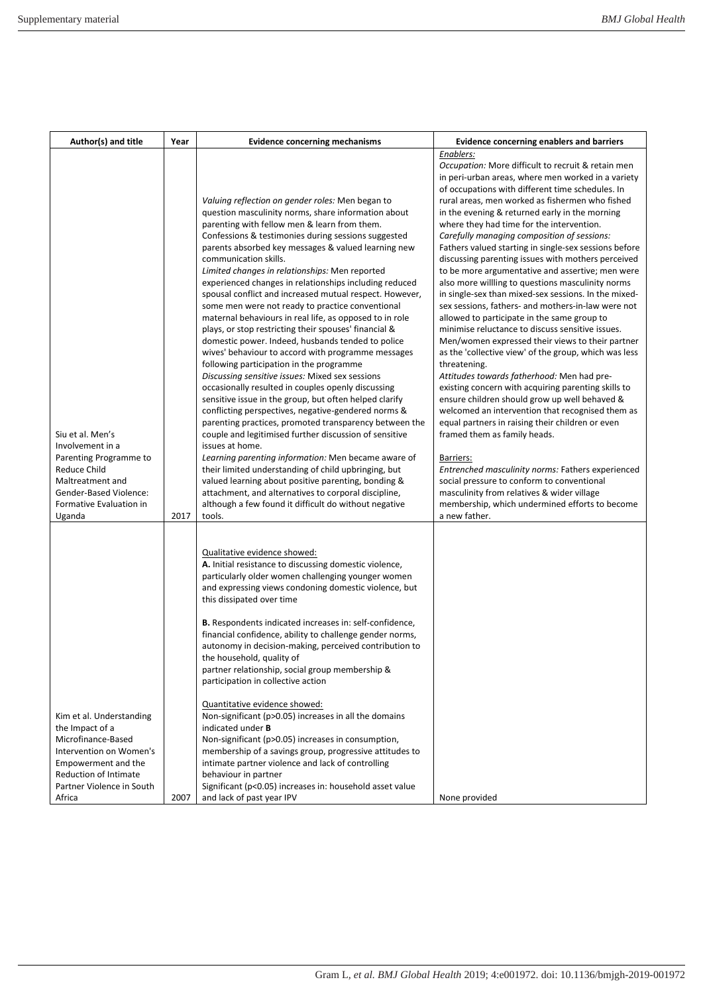| Author(s) and title                                                                                                                                                                 | Year | <b>Evidence concerning mechanisms</b>                                                                                                                                                                                                                                                                                                                                                                                                                                                                                                                                                                                                                                                                                                                                                                                                                                                                                                                                                                                                                                                                                                                                                                                                                                                                                                                                                                                                                                  | <b>Evidence concerning enablers and barriers</b>                                                                                                                                                                                                                                                                                                                                                                                                                                                                                                                                                                                                                                                                                                                                                                                                                                                                                                                                                                                                                                                                                                                                                                                                                                                                                                                                                                                                                                       |
|-------------------------------------------------------------------------------------------------------------------------------------------------------------------------------------|------|------------------------------------------------------------------------------------------------------------------------------------------------------------------------------------------------------------------------------------------------------------------------------------------------------------------------------------------------------------------------------------------------------------------------------------------------------------------------------------------------------------------------------------------------------------------------------------------------------------------------------------------------------------------------------------------------------------------------------------------------------------------------------------------------------------------------------------------------------------------------------------------------------------------------------------------------------------------------------------------------------------------------------------------------------------------------------------------------------------------------------------------------------------------------------------------------------------------------------------------------------------------------------------------------------------------------------------------------------------------------------------------------------------------------------------------------------------------------|----------------------------------------------------------------------------------------------------------------------------------------------------------------------------------------------------------------------------------------------------------------------------------------------------------------------------------------------------------------------------------------------------------------------------------------------------------------------------------------------------------------------------------------------------------------------------------------------------------------------------------------------------------------------------------------------------------------------------------------------------------------------------------------------------------------------------------------------------------------------------------------------------------------------------------------------------------------------------------------------------------------------------------------------------------------------------------------------------------------------------------------------------------------------------------------------------------------------------------------------------------------------------------------------------------------------------------------------------------------------------------------------------------------------------------------------------------------------------------------|
| Siu et al. Men's<br>Involvement in a<br>Parenting Programme to<br>Reduce Child<br>Maltreatment and<br>Gender-Based Violence:<br>Formative Evaluation in<br>Uganda                   | 2017 | Valuing reflection on gender roles: Men began to<br>question masculinity norms, share information about<br>parenting with fellow men & learn from them.<br>Confessions & testimonies during sessions suggested<br>parents absorbed key messages & valued learning new<br>communication skills.<br>Limited changes in relationships: Men reported<br>experienced changes in relationships including reduced<br>spousal conflict and increased mutual respect. However,<br>some men were not ready to practice conventional<br>maternal behaviours in real life, as opposed to in role<br>plays, or stop restricting their spouses' financial &<br>domestic power. Indeed, husbands tended to police<br>wives' behaviour to accord with programme messages<br>following participation in the programme<br>Discussing sensitive issues: Mixed sex sessions<br>occasionally resulted in couples openly discussing<br>sensitive issue in the group, but often helped clarify<br>conflicting perspectives, negative-gendered norms &<br>parenting practices, promoted transparency between the<br>couple and legitimised further discussion of sensitive<br>issues at home.<br>Learning parenting information: Men became aware of<br>their limited understanding of child upbringing, but<br>valued learning about positive parenting, bonding &<br>attachment, and alternatives to corporal discipline,<br>although a few found it difficult do without negative<br>tools. | Enablers:<br><i>Occupation:</i> More difficult to recruit & retain men<br>in peri-urban areas, where men worked in a variety<br>of occupations with different time schedules. In<br>rural areas, men worked as fishermen who fished<br>in the evening & returned early in the morning<br>where they had time for the intervention.<br>Carefully managing composition of sessions:<br>Fathers valued starting in single-sex sessions before<br>discussing parenting issues with mothers perceived<br>to be more argumentative and assertive; men were<br>also more willling to questions masculinity norms<br>in single-sex than mixed-sex sessions. In the mixed-<br>sex sessions, fathers- and mothers-in-law were not<br>allowed to participate in the same group to<br>minimise reluctance to discuss sensitive issues.<br>Men/women expressed their views to their partner<br>as the 'collective view' of the group, which was less<br>threatening.<br>Attitudes towards fatherhood: Men had pre-<br>existing concern with acquiring parenting skills to<br>ensure children should grow up well behaved &<br>welcomed an intervention that recognised them as<br>equal partners in raising their children or even<br>framed them as family heads.<br>Barriers:<br>Entrenched masculinity norms: Fathers experienced<br>social pressure to conform to conventional<br>masculinity from relatives & wider village<br>membership, which undermined efforts to become<br>a new father. |
| Kim et al. Understanding<br>the Impact of a<br>Microfinance-Based<br>Intervention on Women's<br>Empowerment and the<br>Reduction of Intimate<br>Partner Violence in South<br>Africa | 2007 | Qualitative evidence showed:<br>A. Initial resistance to discussing domestic violence,<br>particularly older women challenging younger women<br>and expressing views condoning domestic violence, but<br>this dissipated over time<br>B. Respondents indicated increases in: self-confidence,<br>financial confidence, ability to challenge gender norms,<br>autonomy in decision-making, perceived contribution to<br>the household, quality of<br>partner relationship, social group membership &<br>participation in collective action<br>Quantitative evidence showed:<br>Non-significant (p>0.05) increases in all the domains<br>indicated under <b>B</b><br>Non-significant (p>0.05) increases in consumption,<br>membership of a savings group, progressive attitudes to<br>intimate partner violence and lack of controlling<br>behaviour in partner<br>Significant (p<0.05) increases in: household asset value<br>and lack of past year IPV                                                                                                                                                                                                                                                                                                                                                                                                                                                                                                                 | None provided                                                                                                                                                                                                                                                                                                                                                                                                                                                                                                                                                                                                                                                                                                                                                                                                                                                                                                                                                                                                                                                                                                                                                                                                                                                                                                                                                                                                                                                                          |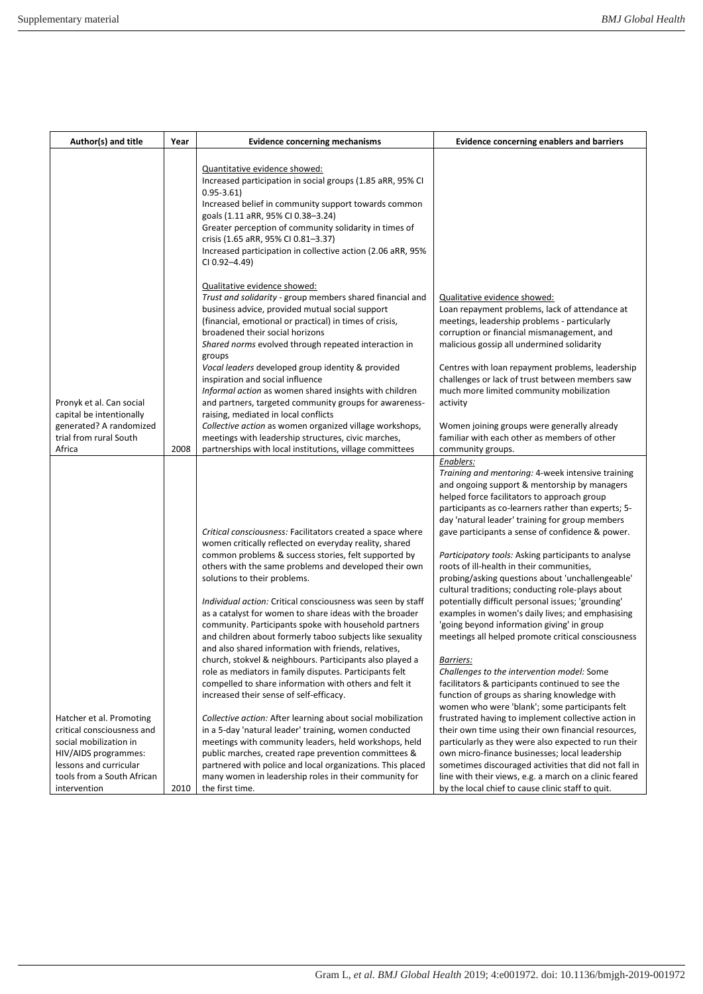| Author(s) and title                                                                                                                                                              | Year | <b>Evidence concerning mechanisms</b>                                                                                                                                                                                                                                                                                                                                                                                      | <b>Evidence concerning enablers and barriers</b>                                                                                                                                                                                                                                                                                                                                                                                                                                               |
|----------------------------------------------------------------------------------------------------------------------------------------------------------------------------------|------|----------------------------------------------------------------------------------------------------------------------------------------------------------------------------------------------------------------------------------------------------------------------------------------------------------------------------------------------------------------------------------------------------------------------------|------------------------------------------------------------------------------------------------------------------------------------------------------------------------------------------------------------------------------------------------------------------------------------------------------------------------------------------------------------------------------------------------------------------------------------------------------------------------------------------------|
|                                                                                                                                                                                  |      | Quantitative evidence showed:<br>Increased participation in social groups (1.85 aRR, 95% CI<br>$0.95 - 3.61$<br>Increased belief in community support towards common<br>goals (1.11 aRR, 95% CI 0.38-3.24)<br>Greater perception of community solidarity in times of<br>crisis (1.65 aRR, 95% CI 0.81-3.37)<br>Increased participation in collective action (2.06 aRR, 95%<br>CI 0.92-4.49)                                |                                                                                                                                                                                                                                                                                                                                                                                                                                                                                                |
|                                                                                                                                                                                  |      | Qualitative evidence showed:<br>Trust and solidarity - group members shared financial and<br>business advice, provided mutual social support<br>(financial, emotional or practical) in times of crisis,<br>broadened their social horizons<br>Shared norms evolved through repeated interaction in<br>groups<br>Vocal leaders developed group identity & provided<br>inspiration and social influence                      | Qualitative evidence showed:<br>Loan repayment problems, lack of attendance at<br>meetings, leadership problems - particularly<br>corruption or financial mismanagement, and<br>malicious gossip all undermined solidarity<br>Centres with loan repayment problems, leadership<br>challenges or lack of trust between members saw<br>much more limited community mobilization                                                                                                                  |
| Pronyk et al. Can social<br>capital be intentionally<br>generated? A randomized<br>trial from rural South                                                                        |      | Informal action as women shared insights with children<br>and partners, targeted community groups for awareness-<br>raising, mediated in local conflicts<br>Collective action as women organized village workshops,<br>meetings with leadership structures, civic marches,                                                                                                                                                 | activity<br>Women joining groups were generally already<br>familiar with each other as members of other                                                                                                                                                                                                                                                                                                                                                                                        |
| Africa                                                                                                                                                                           | 2008 | partnerships with local institutions, village committees<br>Critical consciousness: Facilitators created a space where                                                                                                                                                                                                                                                                                                     | community groups.<br>Enablers:<br>Training and mentoring: 4-week intensive training<br>and ongoing support & mentorship by managers<br>helped force facilitators to approach group<br>participants as co-learners rather than experts; 5-<br>day 'natural leader' training for group members<br>gave participants a sense of confidence & power.                                                                                                                                               |
|                                                                                                                                                                                  |      | women critically reflected on everyday reality, shared<br>common problems & success stories, felt supported by<br>others with the same problems and developed their own<br>solutions to their problems.<br>Individual action: Critical consciousness was seen by staff                                                                                                                                                     | <i>Participatory tools:</i> Asking participants to analyse<br>roots of ill-health in their communities,<br>probing/asking questions about 'unchallengeable'<br>cultural traditions; conducting role-plays about<br>potentially difficult personal issues; 'grounding'                                                                                                                                                                                                                          |
|                                                                                                                                                                                  |      | as a catalyst for women to share ideas with the broader<br>community. Participants spoke with household partners<br>and children about formerly taboo subjects like sexuality<br>and also shared information with friends, relatives,<br>church, stokvel & neighbours. Participants also played a<br>role as mediators in family disputes. Participants felt<br>compelled to share information with others and felt it     | examples in women's daily lives; and emphasising<br>'going beyond information giving' in group<br>meetings all helped promote critical consciousness<br><u>Barriers:</u><br>Challenges to the intervention model: Some<br>facilitators & participants continued to see the                                                                                                                                                                                                                     |
| Hatcher et al. Promoting<br>critical consciousness and<br>social mobilization in<br>HIV/AIDS programmes:<br>lessons and curricular<br>tools from a South African<br>intervention | 2010 | increased their sense of self-efficacy.<br>Collective action: After learning about social mobilization<br>in a 5-day 'natural leader' training, women conducted<br>meetings with community leaders, held workshops, held<br>public marches, created rape prevention committees &<br>partnered with police and local organizations. This placed<br>many women in leadership roles in their community for<br>the first time. | function of groups as sharing knowledge with<br>women who were 'blank'; some participants felt<br>frustrated having to implement collective action in<br>their own time using their own financial resources,<br>particularly as they were also expected to run their<br>own micro-finance businesses; local leadership<br>sometimes discouraged activities that did not fall in<br>line with their views, e.g. a march on a clinic feared<br>by the local chief to cause clinic staff to quit. |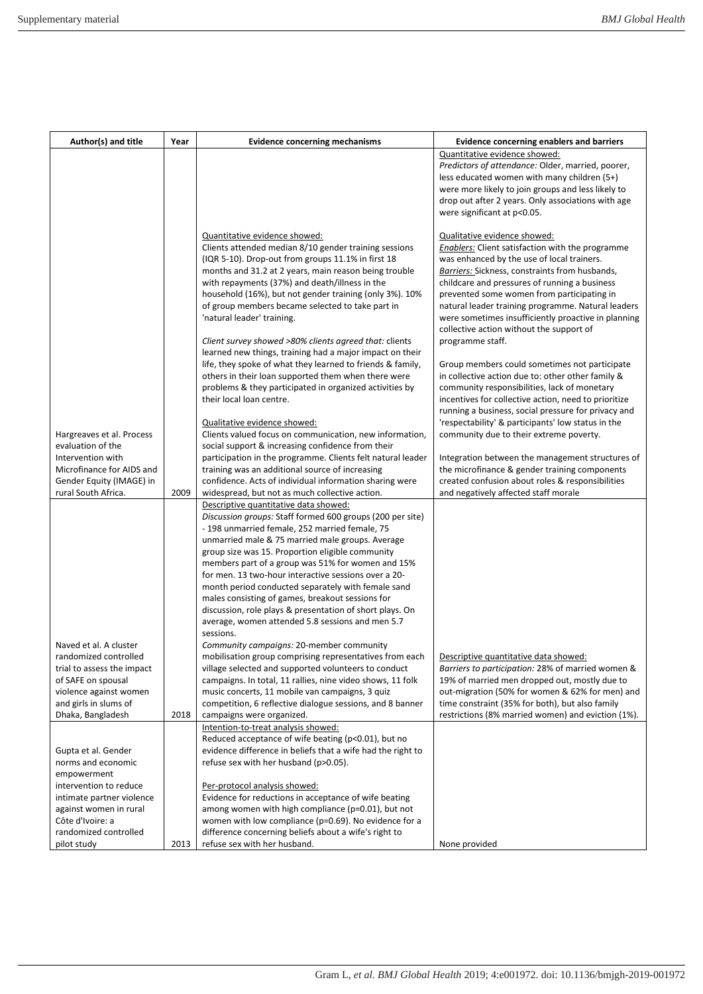| Author(s) and title                                                                                                                                                                                   | Year | <b>Evidence concerning mechanisms</b>                                                                                                                                                                                                                                                                                                                                                                                                                                                                                                                                                                                                                                                                                                                                  | <b>Evidence concerning enablers and barriers</b>                                                                                                                                                                                                                                                                                                                                                                                                                                                                                                                                                                                                                                                                                                                                                                              |
|-------------------------------------------------------------------------------------------------------------------------------------------------------------------------------------------------------|------|------------------------------------------------------------------------------------------------------------------------------------------------------------------------------------------------------------------------------------------------------------------------------------------------------------------------------------------------------------------------------------------------------------------------------------------------------------------------------------------------------------------------------------------------------------------------------------------------------------------------------------------------------------------------------------------------------------------------------------------------------------------------|-------------------------------------------------------------------------------------------------------------------------------------------------------------------------------------------------------------------------------------------------------------------------------------------------------------------------------------------------------------------------------------------------------------------------------------------------------------------------------------------------------------------------------------------------------------------------------------------------------------------------------------------------------------------------------------------------------------------------------------------------------------------------------------------------------------------------------|
|                                                                                                                                                                                                       |      |                                                                                                                                                                                                                                                                                                                                                                                                                                                                                                                                                                                                                                                                                                                                                                        | Quantitative evidence showed:<br>Predictors of attendance: Older, married, poorer,<br>less educated women with many children (5+)<br>were more likely to join groups and less likely to<br>drop out after 2 years. Only associations with age                                                                                                                                                                                                                                                                                                                                                                                                                                                                                                                                                                                 |
|                                                                                                                                                                                                       |      | Quantitative evidence showed:<br>Clients attended median 8/10 gender training sessions<br>(IQR 5-10). Drop-out from groups 11.1% in first 18<br>months and 31.2 at 2 years, main reason being trouble<br>with repayments (37%) and death/illness in the<br>household (16%), but not gender training (only 3%). 10%<br>of group members became selected to take part in<br>'natural leader' training.<br>Client survey showed >80% clients agreed that: clients<br>learned new things, training had a major impact on their<br>life, they spoke of what they learned to friends & family,<br>others in their loan supported them when there were<br>problems & they participated in organized activities by<br>their local loan centre.<br>Qualitative evidence showed: | were significant at p<0.05.<br>Qualitative evidence showed:<br><b>Enablers:</b> Client satisfaction with the programme<br>was enhanced by the use of local trainers.<br>Barriers: Sickness, constraints from husbands,<br>childcare and pressures of running a business<br>prevented some women from participating in<br>natural leader training programme. Natural leaders<br>were sometimes insufficiently proactive in planning<br>collective action without the support of<br>programme staff.<br>Group members could sometimes not participate<br>in collective action due to: other other family &<br>community responsibilities, lack of monetary<br>incentives for collective action, need to prioritize<br>running a business, social pressure for privacy and<br>'respectability' & participants' low status in the |
| Hargreaves et al. Process<br>evaluation of the<br>Intervention with<br>Microfinance for AIDS and<br>Gender Equity (IMAGE) in<br>rural South Africa.                                                   | 2009 | Clients valued focus on communication, new information,<br>social support & increasing confidence from their<br>participation in the programme. Clients felt natural leader<br>training was an additional source of increasing<br>confidence. Acts of individual information sharing were<br>widespread, but not as much collective action.                                                                                                                                                                                                                                                                                                                                                                                                                            | community due to their extreme poverty.<br>Integration between the management structures of<br>the microfinance & gender training components<br>created confusion about roles & responsibilities<br>and negatively affected staff morale                                                                                                                                                                                                                                                                                                                                                                                                                                                                                                                                                                                      |
|                                                                                                                                                                                                       |      | Descriptive quantitative data showed:<br>Discussion groups: Staff formed 600 groups (200 per site)<br>- 198 unmarried female, 252 married female, 75<br>unmarried male & 75 married male groups. Average<br>group size was 15. Proportion eligible community<br>members part of a group was 51% for women and 15%<br>for men. 13 two-hour interactive sessions over a 20-<br>month period conducted separately with female sand<br>males consisting of games, breakout sessions for<br>discussion, role plays & presentation of short plays. On<br>average, women attended 5.8 sessions and men 5.7<br>sessions.                                                                                                                                                       |                                                                                                                                                                                                                                                                                                                                                                                                                                                                                                                                                                                                                                                                                                                                                                                                                               |
| Naved et al. A cluster<br>randomized controlled<br>trial to assess the impact<br>of SAFE on spousal<br>violence against women<br>and girls in slums of<br>Dhaka, Bangladesh                           | 2018 | Community campaigns: 20-member community<br>mobilisation group comprising representatives from each<br>village selected and supported volunteers to conduct<br>campaigns. In total, 11 rallies, nine video shows, 11 folk<br>music concerts, 11 mobile van campaigns, 3 quiz<br>competition, 6 reflective dialogue sessions, and 8 banner<br>campaigns were organized.<br>Intention-to-treat analysis showed:                                                                                                                                                                                                                                                                                                                                                          | Descriptive quantitative data showed:<br>Barriers to participation: 28% of married women &<br>19% of married men dropped out, mostly due to<br>out-migration (50% for women & 62% for men) and<br>time constraint (35% for both), but also family<br>restrictions (8% married women) and eviction (1%).                                                                                                                                                                                                                                                                                                                                                                                                                                                                                                                       |
| Gupta et al. Gender<br>norms and economic<br>empowerment<br>intervention to reduce<br>intimate partner violence<br>against women in rural<br>Côte d'Ivoire: a<br>randomized controlled<br>pilot study | 2013 | Reduced acceptance of wife beating (p<0.01), but no<br>evidence difference in beliefs that a wife had the right to<br>refuse sex with her husband (p>0.05).<br>Per-protocol analysis showed:<br>Evidence for reductions in acceptance of wife beating<br>among women with high compliance (p=0.01), but not<br>women with low compliance (p=0.69). No evidence for a<br>difference concerning beliefs about a wife's right to<br>refuse sex with her husband.                                                                                                                                                                                                                                                                                                          | None provided                                                                                                                                                                                                                                                                                                                                                                                                                                                                                                                                                                                                                                                                                                                                                                                                                 |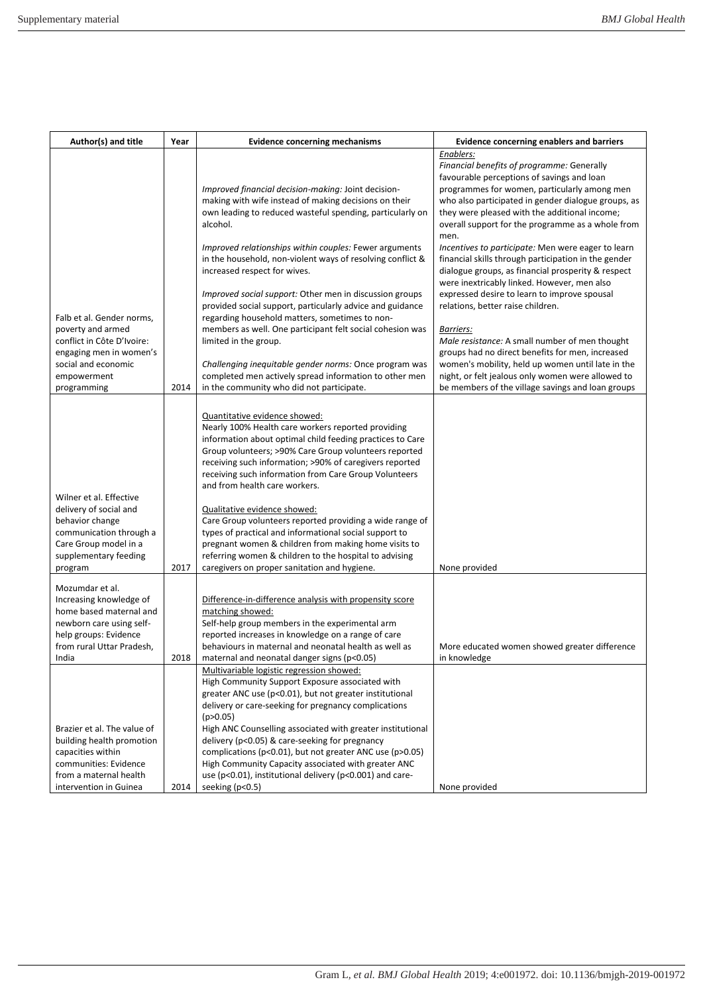| Author(s) and title                                                                                                                                              | Year | <b>Evidence concerning mechanisms</b>                                                                                                                                                                                                                                                                                                                                                                                                                                                                                                                                                                                                                                                  | <b>Evidence concerning enablers and barriers</b>                                                                                                                                                                                                                                                                                                                                                                                                                                                                                                                                                      |
|------------------------------------------------------------------------------------------------------------------------------------------------------------------|------|----------------------------------------------------------------------------------------------------------------------------------------------------------------------------------------------------------------------------------------------------------------------------------------------------------------------------------------------------------------------------------------------------------------------------------------------------------------------------------------------------------------------------------------------------------------------------------------------------------------------------------------------------------------------------------------|-------------------------------------------------------------------------------------------------------------------------------------------------------------------------------------------------------------------------------------------------------------------------------------------------------------------------------------------------------------------------------------------------------------------------------------------------------------------------------------------------------------------------------------------------------------------------------------------------------|
|                                                                                                                                                                  |      | Improved financial decision-making: Joint decision-<br>making with wife instead of making decisions on their<br>own leading to reduced wasteful spending, particularly on<br>alcohol.                                                                                                                                                                                                                                                                                                                                                                                                                                                                                                  | Enablers:<br>Financial benefits of programme: Generally<br>favourable perceptions of savings and loan<br>programmes for women, particularly among men<br>who also participated in gender dialogue groups, as<br>they were pleased with the additional income;<br>overall support for the programme as a whole from                                                                                                                                                                                                                                                                                    |
| Falb et al. Gender norms,<br>poverty and armed<br>conflict in Côte D'Ivoire:<br>engaging men in women's<br>social and economic<br>empowerment<br>programming     | 2014 | Improved relationships within couples: Fewer arguments<br>in the household, non-violent ways of resolving conflict &<br>increased respect for wives.<br><i>Improved social support:</i> Other men in discussion groups<br>provided social support, particularly advice and guidance<br>regarding household matters, sometimes to non-<br>members as well. One participant felt social cohesion was<br>limited in the group.<br>Challenging inequitable gender norms: Once program was<br>completed men actively spread information to other men<br>in the community who did not participate.                                                                                           | men.<br>Incentives to participate: Men were eager to learn<br>financial skills through participation in the gender<br>dialogue groups, as financial prosperity & respect<br>were inextricably linked. However, men also<br>expressed desire to learn to improve spousal<br>relations, better raise children.<br><u>Barriers:</u><br>Male resistance: A small number of men thought<br>groups had no direct benefits for men, increased<br>women's mobility, held up women until late in the<br>night, or felt jealous only women were allowed to<br>be members of the village savings and loan groups |
| Wilner et al. Effective<br>delivery of social and<br>behavior change<br>communication through a<br>Care Group model in a<br>supplementary feeding<br>program     | 2017 | Quantitative evidence showed:<br>Nearly 100% Health care workers reported providing<br>information about optimal child feeding practices to Care<br>Group volunteers; >90% Care Group volunteers reported<br>receiving such information; >90% of caregivers reported<br>receiving such information from Care Group Volunteers<br>and from health care workers.<br>Qualitative evidence showed:<br>Care Group volunteers reported providing a wide range of<br>types of practical and informational social support to<br>pregnant women & children from making home visits to<br>referring women & children to the hospital to advising<br>caregivers on proper sanitation and hygiene. | None provided                                                                                                                                                                                                                                                                                                                                                                                                                                                                                                                                                                                         |
| Mozumdar et al.<br>Increasing knowledge of<br>home based maternal and<br>newborn care using self-<br>help groups: Evidence<br>from rural Uttar Pradesh,<br>India | 2018 | Difference-in-difference analysis with propensity score<br>matching showed:<br>Self-help group members in the experimental arm<br>reported increases in knowledge on a range of care<br>behaviours in maternal and neonatal health as well as<br>maternal and neonatal danger signs (p<0.05)                                                                                                                                                                                                                                                                                                                                                                                           | More educated women showed greater difference<br>in knowledge                                                                                                                                                                                                                                                                                                                                                                                                                                                                                                                                         |
| Brazier et al. The value of<br>building health promotion<br>capacities within<br>communities: Evidence<br>from a maternal health<br>intervention in Guinea       | 2014 | Multivariable logistic regression showed:<br>High Community Support Exposure associated with<br>greater ANC use (p<0.01), but not greater institutional<br>delivery or care-seeking for pregnancy complications<br>(p>0.05)<br>High ANC Counselling associated with greater institutional<br>delivery (p<0.05) & care-seeking for pregnancy<br>complications (p<0.01), but not greater ANC use (p>0.05)<br>High Community Capacity associated with greater ANC<br>use (p<0.01), institutional delivery (p<0.001) and care-<br>seeking (p<0.5)                                                                                                                                          | None provided                                                                                                                                                                                                                                                                                                                                                                                                                                                                                                                                                                                         |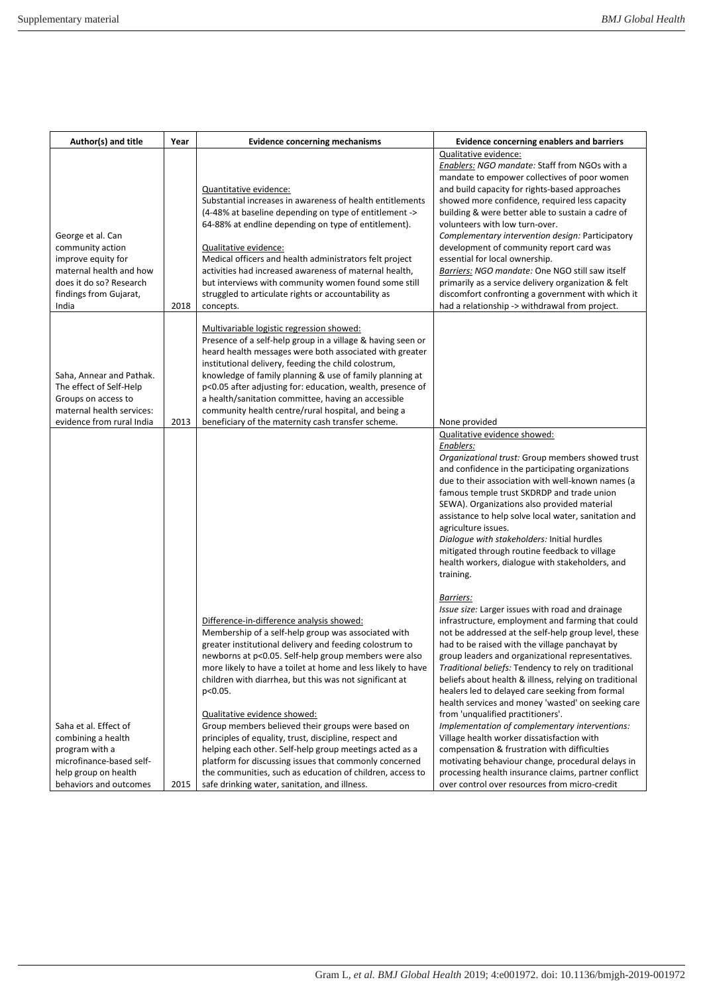| Author(s) and title                                                                                                                                  | Year | <b>Evidence concerning mechanisms</b>                                                                                                                                                                                                                                                                                                                                                                                                                                                                                                                                                                                                                                                                                                        | <b>Evidence concerning enablers and barriers</b>                                                                                                                                                                                                                                                                                                                                                                                                                                                                                                                                                                                                                                                                                                                                                                                                                |
|------------------------------------------------------------------------------------------------------------------------------------------------------|------|----------------------------------------------------------------------------------------------------------------------------------------------------------------------------------------------------------------------------------------------------------------------------------------------------------------------------------------------------------------------------------------------------------------------------------------------------------------------------------------------------------------------------------------------------------------------------------------------------------------------------------------------------------------------------------------------------------------------------------------------|-----------------------------------------------------------------------------------------------------------------------------------------------------------------------------------------------------------------------------------------------------------------------------------------------------------------------------------------------------------------------------------------------------------------------------------------------------------------------------------------------------------------------------------------------------------------------------------------------------------------------------------------------------------------------------------------------------------------------------------------------------------------------------------------------------------------------------------------------------------------|
| George et al. Can<br>community action<br>improve equity for<br>maternal health and how<br>does it do so? Research<br>findings from Gujarat,<br>India | 2018 | Quantitative evidence:<br>Substantial increases in awareness of health entitlements<br>(4-48% at baseline depending on type of entitlement -><br>64-88% at endline depending on type of entitlement).<br>Qualitative evidence:<br>Medical officers and health administrators felt project<br>activities had increased awareness of maternal health,<br>but interviews with community women found some still<br>struggled to articulate rights or accountability as<br>concepts.                                                                                                                                                                                                                                                              | Qualitative evidence:<br>Enablers: NGO mandate: Staff from NGOs with a<br>mandate to empower collectives of poor women<br>and build capacity for rights-based approaches<br>showed more confidence, required less capacity<br>building & were better able to sustain a cadre of<br>volunteers with low turn-over.<br>Complementary intervention design: Participatory<br>development of community report card was<br>essential for local ownership.<br>Barriers: NGO mandate: One NGO still saw itself<br>primarily as a service delivery organization & felt<br>discomfort confronting a government with which it<br>had a relationship -> withdrawal from project.                                                                                                                                                                                            |
| Saha, Annear and Pathak.<br>The effect of Self-Help<br>Groups on access to<br>maternal health services:<br>evidence from rural India                 | 2013 | Multivariable logistic regression showed:<br>Presence of a self-help group in a village & having seen or<br>heard health messages were both associated with greater<br>institutional delivery, feeding the child colostrum,<br>knowledge of family planning & use of family planning at<br>p<0.05 after adjusting for: education, wealth, presence of<br>a health/sanitation committee, having an accessible<br>community health centre/rural hospital, and being a<br>beneficiary of the maternity cash transfer scheme.                                                                                                                                                                                                                    | None provided                                                                                                                                                                                                                                                                                                                                                                                                                                                                                                                                                                                                                                                                                                                                                                                                                                                   |
|                                                                                                                                                      |      |                                                                                                                                                                                                                                                                                                                                                                                                                                                                                                                                                                                                                                                                                                                                              | Qualitative evidence showed:<br>Enablers:<br>Organizational trust: Group members showed trust<br>and confidence in the participating organizations<br>due to their association with well-known names (a<br>famous temple trust SKDRDP and trade union<br>SEWA). Organizations also provided material<br>assistance to help solve local water, sanitation and<br>agriculture issues.<br>Dialogue with stakeholders: Initial hurdles<br>mitigated through routine feedback to village<br>health workers, dialogue with stakeholders, and<br>training.                                                                                                                                                                                                                                                                                                             |
| Saha et al. Effect of<br>combining a health<br>program with a<br>microfinance-based self-<br>help group on health<br>behaviors and outcomes          | 2015 | Difference-in-difference analysis showed:<br>Membership of a self-help group was associated with<br>greater institutional delivery and feeding colostrum to<br>newborns at p<0.05. Self-help group members were also<br>more likely to have a toilet at home and less likely to have<br>children with diarrhea, but this was not significant at<br>p<0.05.<br>Qualitative evidence showed:<br>Group members believed their groups were based on<br>principles of equality, trust, discipline, respect and<br>helping each other. Self-help group meetings acted as a<br>platform for discussing issues that commonly concerned<br>the communities, such as education of children, access to<br>safe drinking water, sanitation, and illness. | Barriers:<br>Issue size: Larger issues with road and drainage<br>infrastructure, employment and farming that could<br>not be addressed at the self-help group level, these<br>had to be raised with the village panchayat by<br>group leaders and organizational representatives.<br>Traditional beliefs: Tendency to rely on traditional<br>beliefs about health & illness, relying on traditional<br>healers led to delayed care seeking from formal<br>health services and money 'wasted' on seeking care<br>from 'unqualified practitioners'.<br>Implementation of complementary interventions:<br>Village health worker dissatisfaction with<br>compensation & frustration with difficulties<br>motivating behaviour change, procedural delays in<br>processing health insurance claims, partner conflict<br>over control over resources from micro-credit |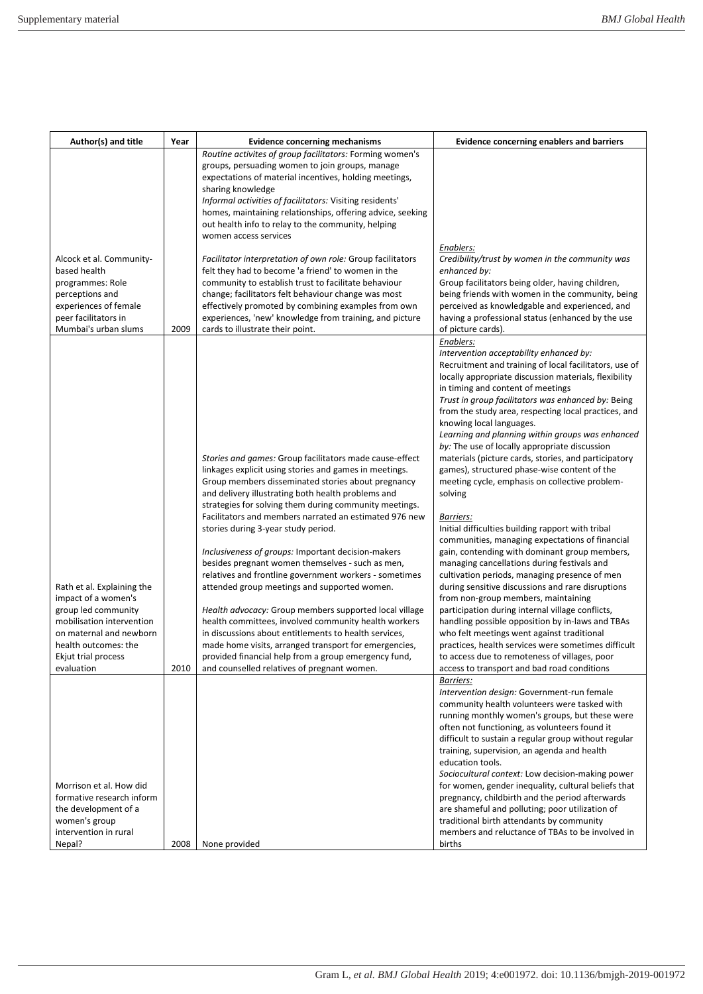| Author(s) and title                                                                                                                                                             | Year         | <b>Evidence concerning mechanisms</b>                                                                                                                                                                                                                                                                                                                                                                                                                                                                                                                                                                                                                                                                                                                                                                                                                                                                    | <b>Evidence concerning enablers and barriers</b>                                                                                                                                                                                                                                                                                                                                                                                                                                                                                                                                                                                                                                                                                                                                                                                                                                                                                                                                                                                                                                                                                                                                                                                                                 |
|---------------------------------------------------------------------------------------------------------------------------------------------------------------------------------|--------------|----------------------------------------------------------------------------------------------------------------------------------------------------------------------------------------------------------------------------------------------------------------------------------------------------------------------------------------------------------------------------------------------------------------------------------------------------------------------------------------------------------------------------------------------------------------------------------------------------------------------------------------------------------------------------------------------------------------------------------------------------------------------------------------------------------------------------------------------------------------------------------------------------------|------------------------------------------------------------------------------------------------------------------------------------------------------------------------------------------------------------------------------------------------------------------------------------------------------------------------------------------------------------------------------------------------------------------------------------------------------------------------------------------------------------------------------------------------------------------------------------------------------------------------------------------------------------------------------------------------------------------------------------------------------------------------------------------------------------------------------------------------------------------------------------------------------------------------------------------------------------------------------------------------------------------------------------------------------------------------------------------------------------------------------------------------------------------------------------------------------------------------------------------------------------------|
| Alcock et al. Community-                                                                                                                                                        |              | Routine activites of group facilitators: Forming women's<br>groups, persuading women to join groups, manage<br>expectations of material incentives, holding meetings,<br>sharing knowledge<br>Informal activities of facilitators: Visiting residents'<br>homes, maintaining relationships, offering advice, seeking<br>out health info to relay to the community, helping<br>women access services<br>Facilitator interpretation of own role: Group facilitators                                                                                                                                                                                                                                                                                                                                                                                                                                        | Enablers:<br>Credibility/trust by women in the community was                                                                                                                                                                                                                                                                                                                                                                                                                                                                                                                                                                                                                                                                                                                                                                                                                                                                                                                                                                                                                                                                                                                                                                                                     |
| based health<br>programmes: Role<br>perceptions and<br>experiences of female                                                                                                    |              | felt they had to become 'a friend' to women in the<br>community to establish trust to facilitate behaviour<br>change; facilitators felt behaviour change was most<br>effectively promoted by combining examples from own                                                                                                                                                                                                                                                                                                                                                                                                                                                                                                                                                                                                                                                                                 | enhanced by:<br>Group facilitators being older, having children,<br>being friends with women in the community, being<br>perceived as knowledgable and experienced, and                                                                                                                                                                                                                                                                                                                                                                                                                                                                                                                                                                                                                                                                                                                                                                                                                                                                                                                                                                                                                                                                                           |
| peer facilitators in<br>Mumbai's urban slums                                                                                                                                    | 2009         | experiences, 'new' knowledge from training, and picture<br>cards to illustrate their point.                                                                                                                                                                                                                                                                                                                                                                                                                                                                                                                                                                                                                                                                                                                                                                                                              | having a professional status (enhanced by the use<br>of picture cards).                                                                                                                                                                                                                                                                                                                                                                                                                                                                                                                                                                                                                                                                                                                                                                                                                                                                                                                                                                                                                                                                                                                                                                                          |
| Rath et al. Explaining the<br>impact of a women's<br>group led community<br>mobilisation intervention<br>on maternal and newborn<br>health outcomes: the<br>Ekjut trial process |              | Stories and games: Group facilitators made cause-effect<br>linkages explicit using stories and games in meetings.<br>Group members disseminated stories about pregnancy<br>and delivery illustrating both health problems and<br>strategies for solving them during community meetings.<br>Facilitators and members narrated an estimated 976 new<br>stories during 3-year study period.<br>Inclusiveness of groups: Important decision-makers<br>besides pregnant women themselves - such as men,<br>relatives and frontline government workers - sometimes<br>attended group meetings and supported women.<br>Health advocacy: Group members supported local village<br>health committees, involved community health workers<br>in discussions about entitlements to health services,<br>made home visits, arranged transport for emergencies,<br>provided financial help from a group emergency fund, | Enablers:<br>Intervention acceptability enhanced by:<br>Recruitment and training of local facilitators, use of<br>locally appropriate discussion materials, flexibility<br>in timing and content of meetings<br>Trust in group facilitators was enhanced by: Being<br>from the study area, respecting local practices, and<br>knowing local languages.<br>Learning and planning within groups was enhanced<br>by: The use of locally appropriate discussion<br>materials (picture cards, stories, and participatory<br>games), structured phase-wise content of the<br>meeting cycle, emphasis on collective problem-<br>solving<br>Barriers:<br>Initial difficulties building rapport with tribal<br>communities, managing expectations of financial<br>gain, contending with dominant group members,<br>managing cancellations during festivals and<br>cultivation periods, managing presence of men<br>during sensitive discussions and rare disruptions<br>from non-group members, maintaining<br>participation during internal village conflicts,<br>handling possible opposition by in-laws and TBAs<br>who felt meetings went against traditional<br>practices, health services were sometimes difficult<br>to access due to remoteness of villages, poor |
| evaluation<br>Morrison et al. How did<br>formative research inform<br>the development of a<br>women's group<br>intervention in rural<br>Nepal?                                  | 2010<br>2008 | and counselled relatives of pregnant women.<br>None provided                                                                                                                                                                                                                                                                                                                                                                                                                                                                                                                                                                                                                                                                                                                                                                                                                                             | access to transport and bad road conditions<br>Barriers:<br>Intervention design: Government-run female<br>community health volunteers were tasked with<br>running monthly women's groups, but these were<br>often not functioning, as volunteers found it<br>difficult to sustain a regular group without regular<br>training, supervision, an agenda and health<br>education tools.<br>Sociocultural context: Low decision-making power<br>for women, gender inequality, cultural beliefs that<br>pregnancy, childbirth and the period afterwards<br>are shameful and polluting; poor utilization of<br>traditional birth attendants by community<br>members and reluctance of TBAs to be involved in<br>births                                                                                                                                                                                                                                                                                                                                                                                                                                                                                                                                                 |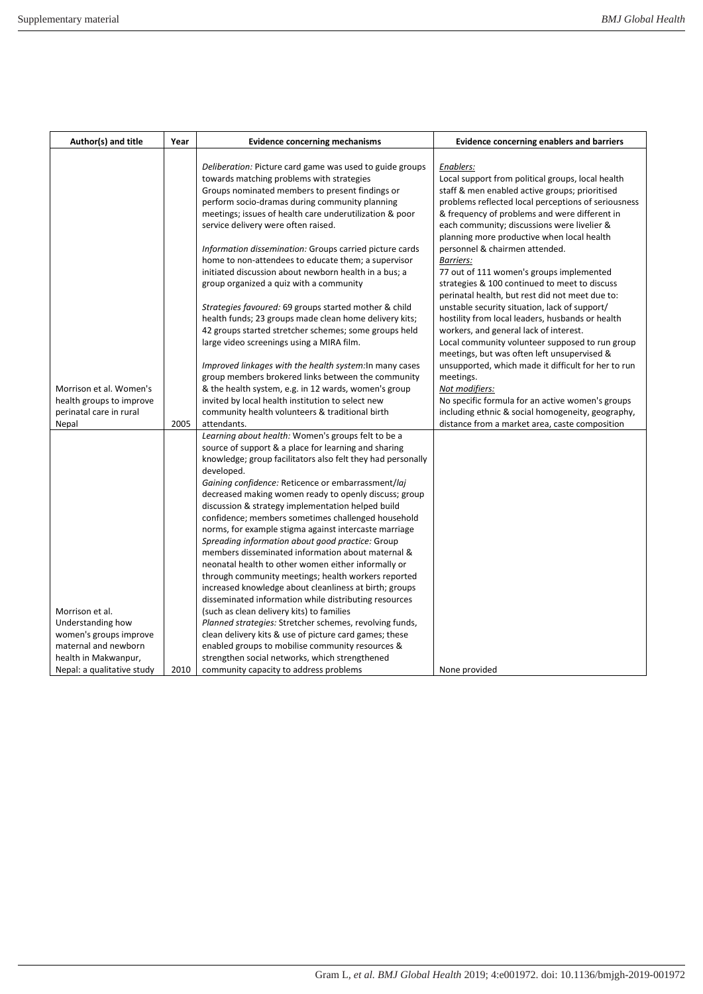| Author(s) and title                                 | Year | <b>Evidence concerning mechanisms</b>                                                                | <b>Evidence concerning enablers and barriers</b>                                                      |
|-----------------------------------------------------|------|------------------------------------------------------------------------------------------------------|-------------------------------------------------------------------------------------------------------|
|                                                     |      |                                                                                                      |                                                                                                       |
|                                                     |      | Deliberation: Picture card game was used to guide groups                                             | Enablers:                                                                                             |
|                                                     |      | towards matching problems with strategies                                                            | Local support from political groups, local health                                                     |
|                                                     |      | Groups nominated members to present findings or                                                      | staff & men enabled active groups; prioritised                                                        |
|                                                     |      | perform socio-dramas during community planning                                                       | problems reflected local perceptions of seriousness                                                   |
|                                                     |      | meetings; issues of health care underutilization & poor                                              | & frequency of problems and were different in                                                         |
|                                                     |      | service delivery were often raised.                                                                  | each community; discussions were livelier &                                                           |
|                                                     |      |                                                                                                      | planning more productive when local health                                                            |
|                                                     |      | Information dissemination: Groups carried picture cards                                              | personnel & chairmen attended.                                                                        |
|                                                     |      | home to non-attendees to educate them; a supervisor                                                  | <b>Barriers:</b>                                                                                      |
|                                                     |      | initiated discussion about newborn health in a bus; a                                                | 77 out of 111 women's groups implemented                                                              |
|                                                     |      | group organized a quiz with a community                                                              | strategies & 100 continued to meet to discuss                                                         |
|                                                     |      |                                                                                                      | perinatal health, but rest did not meet due to:                                                       |
|                                                     |      | Strategies favoured: 69 groups started mother & child                                                | unstable security situation, lack of support/                                                         |
|                                                     |      | health funds; 23 groups made clean home delivery kits;                                               | hostility from local leaders, husbands or health                                                      |
|                                                     |      | 42 groups started stretcher schemes; some groups held                                                | workers, and general lack of interest.                                                                |
|                                                     |      | large video screenings using a MIRA film.                                                            | Local community volunteer supposed to run group                                                       |
|                                                     |      |                                                                                                      | meetings, but was often left unsupervised &                                                           |
|                                                     |      | Improved linkages with the health system: In many cases                                              | unsupported, which made it difficult for her to run                                                   |
|                                                     |      | group members brokered links between the community                                                   | meetings.                                                                                             |
| Morrison et al. Women's                             |      | & the health system, e.g. in 12 wards, women's group                                                 | Not modifiers:                                                                                        |
| health groups to improve<br>perinatal care in rural |      | invited by local health institution to select new<br>community health volunteers & traditional birth | No specific formula for an active women's groups<br>including ethnic & social homogeneity, geography, |
| Nepal                                               | 2005 | attendants.                                                                                          | distance from a market area, caste composition                                                        |
|                                                     |      | Learning about health: Women's groups felt to be a                                                   |                                                                                                       |
|                                                     |      | source of support & a place for learning and sharing                                                 |                                                                                                       |
|                                                     |      | knowledge; group facilitators also felt they had personally                                          |                                                                                                       |
|                                                     |      | developed.                                                                                           |                                                                                                       |
|                                                     |      | Gaining confidence: Reticence or embarrassment/laj                                                   |                                                                                                       |
|                                                     |      | decreased making women ready to openly discuss; group                                                |                                                                                                       |
|                                                     |      | discussion & strategy implementation helped build                                                    |                                                                                                       |
|                                                     |      | confidence; members sometimes challenged household                                                   |                                                                                                       |
|                                                     |      | norms, for example stigma against intercaste marriage                                                |                                                                                                       |
|                                                     |      | Spreading information about good practice: Group                                                     |                                                                                                       |
|                                                     |      | members disseminated information about maternal &                                                    |                                                                                                       |
|                                                     |      | neonatal health to other women either informally or                                                  |                                                                                                       |
|                                                     |      | through community meetings; health workers reported                                                  |                                                                                                       |
|                                                     |      | increased knowledge about cleanliness at birth; groups                                               |                                                                                                       |
|                                                     |      | disseminated information while distributing resources                                                |                                                                                                       |
| Morrison et al.                                     |      | (such as clean delivery kits) to families                                                            |                                                                                                       |
| Understanding how                                   |      | Planned strategies: Stretcher schemes, revolving funds,                                              |                                                                                                       |
| women's groups improve                              |      | clean delivery kits & use of picture card games; these                                               |                                                                                                       |
| maternal and newborn                                |      | enabled groups to mobilise community resources &                                                     |                                                                                                       |
| health in Makwanpur,                                |      | strengthen social networks, which strengthened                                                       |                                                                                                       |
| Nepal: a qualitative study                          | 2010 | community capacity to address problems                                                               | None provided                                                                                         |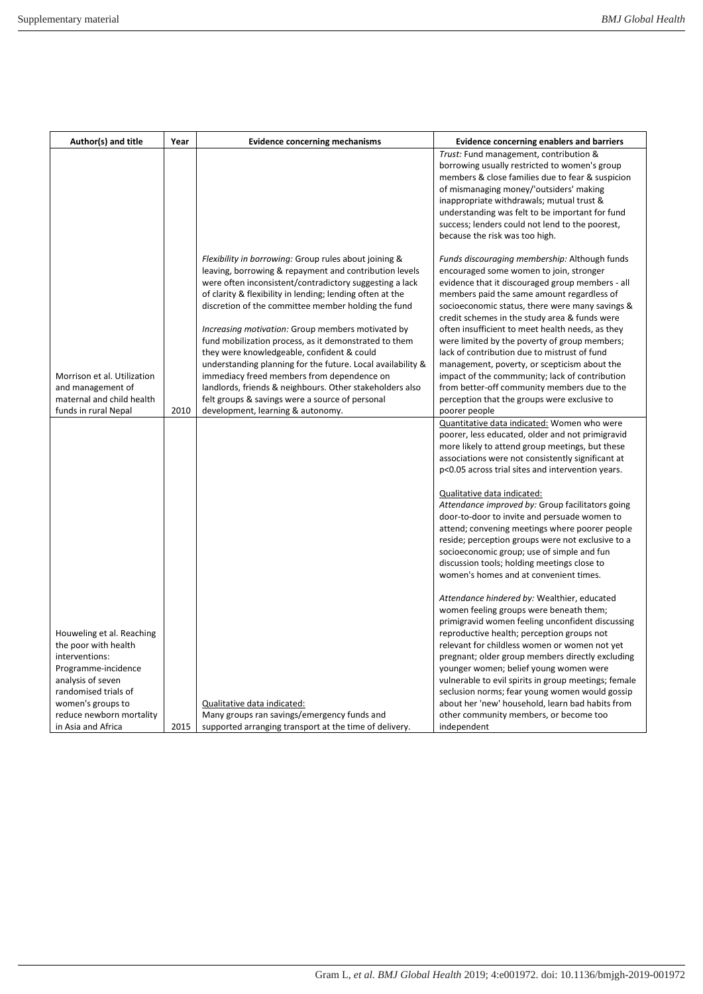| Author(s) and title                                                                                                                                                                                            | Year | <b>Evidence concerning mechanisms</b>                                                                                                                                                                                                                                                                                                                                                                                                                                                                                                                                                                                                                                                  | <b>Evidence concerning enablers and barriers</b>                                                                                                                                                                                                                                                                                                                                                                                                                                                                                                                                                                                                      |
|----------------------------------------------------------------------------------------------------------------------------------------------------------------------------------------------------------------|------|----------------------------------------------------------------------------------------------------------------------------------------------------------------------------------------------------------------------------------------------------------------------------------------------------------------------------------------------------------------------------------------------------------------------------------------------------------------------------------------------------------------------------------------------------------------------------------------------------------------------------------------------------------------------------------------|-------------------------------------------------------------------------------------------------------------------------------------------------------------------------------------------------------------------------------------------------------------------------------------------------------------------------------------------------------------------------------------------------------------------------------------------------------------------------------------------------------------------------------------------------------------------------------------------------------------------------------------------------------|
|                                                                                                                                                                                                                |      |                                                                                                                                                                                                                                                                                                                                                                                                                                                                                                                                                                                                                                                                                        | Trust: Fund management, contribution &<br>borrowing usually restricted to women's group<br>members & close families due to fear & suspicion<br>of mismanaging money/'outsiders' making<br>inappropriate withdrawals; mutual trust &<br>understanding was felt to be important for fund<br>success; lenders could not lend to the poorest,<br>because the risk was too high.                                                                                                                                                                                                                                                                           |
| Morrison et al. Utilization<br>and management of<br>maternal and child health                                                                                                                                  |      | Flexibility in borrowing: Group rules about joining &<br>leaving, borrowing & repayment and contribution levels<br>were often inconsistent/contradictory suggesting a lack<br>of clarity & flexibility in lending; lending often at the<br>discretion of the committee member holding the fund<br>Increasing motivation: Group members motivated by<br>fund mobilization process, as it demonstrated to them<br>they were knowledgeable, confident & could<br>understanding planning for the future. Local availability &<br>immediacy freed members from dependence on<br>landlords, friends & neighbours. Other stakeholders also<br>felt groups & savings were a source of personal | Funds discouraging membership: Although funds<br>encouraged some women to join, stronger<br>evidence that it discouraged group members - all<br>members paid the same amount regardless of<br>socioeconomic status, there were many savings &<br>credit schemes in the study area & funds were<br>often insufficient to meet health needs, as they<br>were limited by the poverty of group members;<br>lack of contribution due to mistrust of fund<br>management, poverty, or scepticism about the<br>impact of the commmunity; lack of contribution<br>from better-off community members due to the<br>perception that the groups were exclusive to |
| funds in rural Nepal                                                                                                                                                                                           | 2010 | development, learning & autonomy.                                                                                                                                                                                                                                                                                                                                                                                                                                                                                                                                                                                                                                                      | poorer people                                                                                                                                                                                                                                                                                                                                                                                                                                                                                                                                                                                                                                         |
|                                                                                                                                                                                                                |      |                                                                                                                                                                                                                                                                                                                                                                                                                                                                                                                                                                                                                                                                                        | Quantitative data indicated: Women who were<br>poorer, less educated, older and not primigravid<br>more likely to attend group meetings, but these<br>associations were not consistently significant at<br>p<0.05 across trial sites and intervention years.<br>Qualitative data indicated:<br>Attendance improved by: Group facilitators going<br>door-to-door to invite and persuade women to<br>attend; convening meetings where poorer people<br>reside; perception groups were not exclusive to a<br>socioeconomic group; use of simple and fun<br>discussion tools; holding meetings close to<br>women's homes and at convenient times.         |
| Houweling et al. Reaching<br>the poor with health<br>interventions:<br>Programme-incidence<br>analysis of seven<br>randomised trials of<br>women's groups to<br>reduce newborn mortality<br>in Asia and Africa | 2015 | Qualitative data indicated:<br>Many groups ran savings/emergency funds and<br>supported arranging transport at the time of delivery.                                                                                                                                                                                                                                                                                                                                                                                                                                                                                                                                                   | Attendance hindered by: Wealthier, educated<br>women feeling groups were beneath them;<br>primigravid women feeling unconfident discussing<br>reproductive health; perception groups not<br>relevant for childless women or women not yet<br>pregnant; older group members directly excluding<br>younger women; belief young women were<br>vulnerable to evil spirits in group meetings; female<br>seclusion norms; fear young women would gossip<br>about her 'new' household, learn bad habits from<br>other community members, or become too<br>independent                                                                                        |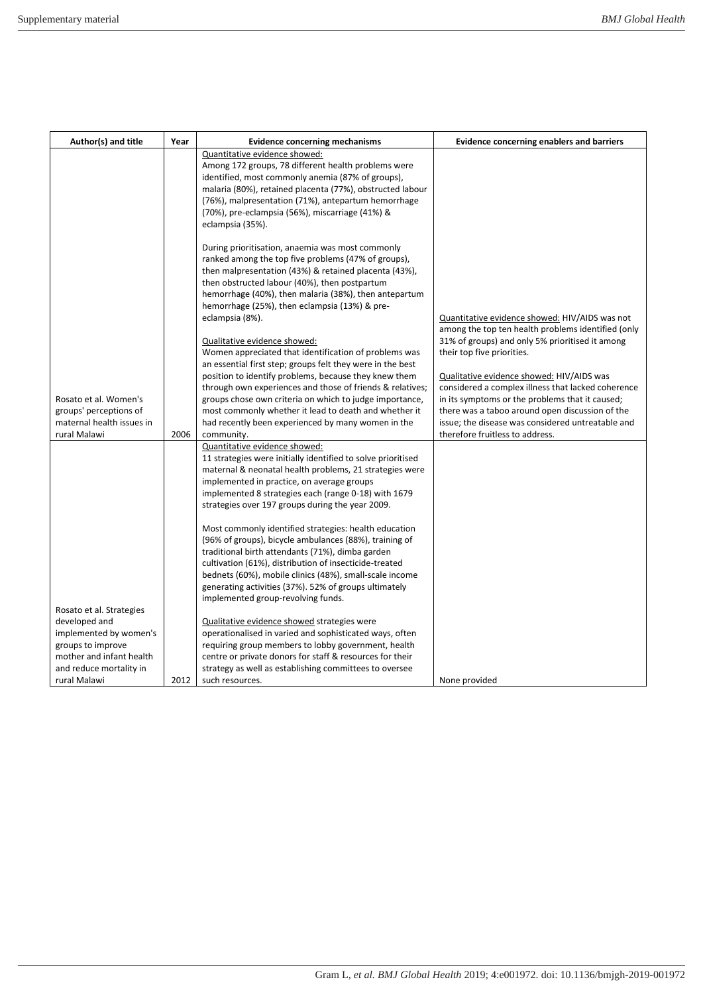| Author(s) and title       | Year | <b>Evidence concerning mechanisms</b>                                                                                | <b>Evidence concerning enablers and barriers</b>                                                      |
|---------------------------|------|----------------------------------------------------------------------------------------------------------------------|-------------------------------------------------------------------------------------------------------|
|                           |      | Quantitative evidence showed:                                                                                        |                                                                                                       |
|                           |      | Among 172 groups, 78 different health problems were                                                                  |                                                                                                       |
|                           |      | identified, most commonly anemia (87% of groups),                                                                    |                                                                                                       |
|                           |      | malaria (80%), retained placenta (77%), obstructed labour                                                            |                                                                                                       |
|                           |      | (76%), malpresentation (71%), antepartum hemorrhage                                                                  |                                                                                                       |
|                           |      | (70%), pre-eclampsia (56%), miscarriage (41%) &                                                                      |                                                                                                       |
|                           |      | eclampsia (35%).                                                                                                     |                                                                                                       |
|                           |      | During prioritisation, anaemia was most commonly                                                                     |                                                                                                       |
|                           |      | ranked among the top five problems (47% of groups),                                                                  |                                                                                                       |
|                           |      | then malpresentation (43%) & retained placenta (43%),                                                                |                                                                                                       |
|                           |      | then obstructed labour (40%), then postpartum                                                                        |                                                                                                       |
|                           |      | hemorrhage (40%), then malaria (38%), then antepartum                                                                |                                                                                                       |
|                           |      | hemorrhage (25%), then eclampsia (13%) & pre-                                                                        |                                                                                                       |
|                           |      | eclampsia (8%).                                                                                                      | Quantitative evidence showed: HIV/AIDS was not                                                        |
|                           |      |                                                                                                                      | among the top ten health problems identified (only                                                    |
|                           |      | Qualitative evidence showed:                                                                                         | 31% of groups) and only 5% prioritised it among                                                       |
|                           |      | Women appreciated that identification of problems was                                                                | their top five priorities.                                                                            |
|                           |      | an essential first step; groups felt they were in the best                                                           |                                                                                                       |
|                           |      | position to identify problems, because they knew them                                                                | Qualitative evidence showed: HIV/AIDS was                                                             |
| Rosato et al. Women's     |      | through own experiences and those of friends & relatives;<br>groups chose own criteria on which to judge importance, | considered a complex illness that lacked coherence<br>in its symptoms or the problems that it caused; |
| groups' perceptions of    |      | most commonly whether it lead to death and whether it                                                                | there was a taboo around open discussion of the                                                       |
| maternal health issues in |      | had recently been experienced by many women in the                                                                   | issue; the disease was considered untreatable and                                                     |
| rural Malawi              | 2006 | community.                                                                                                           | therefore fruitless to address.                                                                       |
|                           |      | Quantitative evidence showed:                                                                                        |                                                                                                       |
|                           |      | 11 strategies were initially identified to solve prioritised                                                         |                                                                                                       |
|                           |      | maternal & neonatal health problems, 21 strategies were                                                              |                                                                                                       |
|                           |      | implemented in practice, on average groups                                                                           |                                                                                                       |
|                           |      | implemented 8 strategies each (range 0-18) with 1679                                                                 |                                                                                                       |
|                           |      | strategies over 197 groups during the year 2009.                                                                     |                                                                                                       |
|                           |      | Most commonly identified strategies: health education                                                                |                                                                                                       |
|                           |      | (96% of groups), bicycle ambulances (88%), training of                                                               |                                                                                                       |
|                           |      | traditional birth attendants (71%), dimba garden                                                                     |                                                                                                       |
|                           |      | cultivation (61%), distribution of insecticide-treated                                                               |                                                                                                       |
|                           |      | bednets (60%), mobile clinics (48%), small-scale income                                                              |                                                                                                       |
|                           |      | generating activities (37%). 52% of groups ultimately                                                                |                                                                                                       |
|                           |      | implemented group-revolving funds.                                                                                   |                                                                                                       |
| Rosato et al. Strategies  |      |                                                                                                                      |                                                                                                       |
| developed and             |      | Qualitative evidence showed strategies were                                                                          |                                                                                                       |
| implemented by women's    |      | operationalised in varied and sophisticated ways, often                                                              |                                                                                                       |
| groups to improve         |      | requiring group members to lobby government, health                                                                  |                                                                                                       |
| mother and infant health  |      | centre or private donors for staff & resources for their                                                             |                                                                                                       |
| and reduce mortality in   |      | strategy as well as establishing committees to oversee                                                               |                                                                                                       |
| rural Malawi              | 2012 | such resources.                                                                                                      | None provided                                                                                         |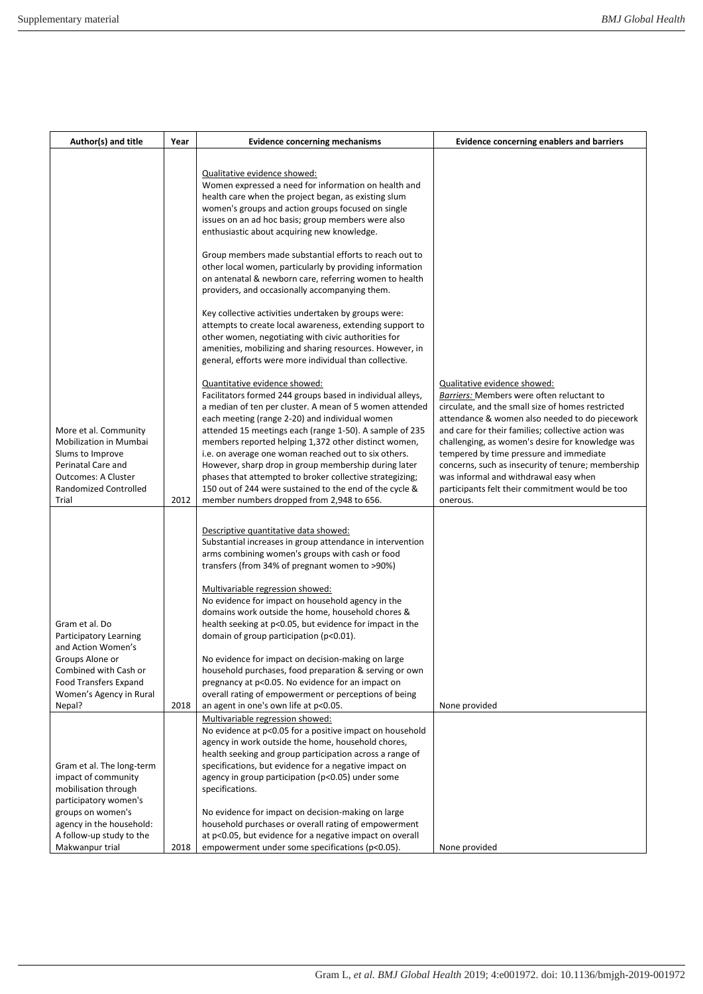| Author(s) and title                                                                                                                                       | Year | <b>Evidence concerning mechanisms</b>                                                                                                                                                                                                                                                                                                                                                                                                                                                                                                                                                                           | <b>Evidence concerning enablers and barriers</b>                                                                                                                                                                                                                                                                                                                                                                                                                                                    |
|-----------------------------------------------------------------------------------------------------------------------------------------------------------|------|-----------------------------------------------------------------------------------------------------------------------------------------------------------------------------------------------------------------------------------------------------------------------------------------------------------------------------------------------------------------------------------------------------------------------------------------------------------------------------------------------------------------------------------------------------------------------------------------------------------------|-----------------------------------------------------------------------------------------------------------------------------------------------------------------------------------------------------------------------------------------------------------------------------------------------------------------------------------------------------------------------------------------------------------------------------------------------------------------------------------------------------|
|                                                                                                                                                           |      | Qualitative evidence showed:<br>Women expressed a need for information on health and<br>health care when the project began, as existing slum<br>women's groups and action groups focused on single<br>issues on an ad hoc basis; group members were also<br>enthusiastic about acquiring new knowledge.                                                                                                                                                                                                                                                                                                         |                                                                                                                                                                                                                                                                                                                                                                                                                                                                                                     |
|                                                                                                                                                           |      | Group members made substantial efforts to reach out to<br>other local women, particularly by providing information<br>on antenatal & newborn care, referring women to health<br>providers, and occasionally accompanying them.                                                                                                                                                                                                                                                                                                                                                                                  |                                                                                                                                                                                                                                                                                                                                                                                                                                                                                                     |
|                                                                                                                                                           |      | Key collective activities undertaken by groups were:<br>attempts to create local awareness, extending support to<br>other women, negotiating with civic authorities for<br>amenities, mobilizing and sharing resources. However, in<br>general, efforts were more individual than collective.                                                                                                                                                                                                                                                                                                                   |                                                                                                                                                                                                                                                                                                                                                                                                                                                                                                     |
| More et al. Community<br>Mobilization in Mumbai<br>Slums to Improve<br>Perinatal Care and<br><b>Outcomes: A Cluster</b><br>Randomized Controlled<br>Trial | 2012 | Quantitative evidence showed:<br>Facilitators formed 244 groups based in individual alleys,<br>a median of ten per cluster. A mean of 5 women attended<br>each meeting (range 2-20) and individual women<br>attended 15 meetings each (range 1-50). A sample of 235<br>members reported helping 1,372 other distinct women,<br>i.e. on average one woman reached out to six others.<br>However, sharp drop in group membership during later<br>phases that attempted to broker collective strategizing;<br>150 out of 244 were sustained to the end of the cycle &<br>member numbers dropped from 2,948 to 656. | Qualitative evidence showed:<br>Barriers: Members were often reluctant to<br>circulate, and the small size of homes restricted<br>attendance & women also needed to do piecework<br>and care for their families; collective action was<br>challenging, as women's desire for knowledge was<br>tempered by time pressure and immediate<br>concerns, such as insecurity of tenure; membership<br>was informal and withdrawal easy when<br>participants felt their commitment would be too<br>onerous. |
|                                                                                                                                                           |      | Descriptive quantitative data showed:<br>Substantial increases in group attendance in intervention<br>arms combining women's groups with cash or food<br>transfers (from 34% of pregnant women to >90%)                                                                                                                                                                                                                                                                                                                                                                                                         |                                                                                                                                                                                                                                                                                                                                                                                                                                                                                                     |
| Gram et al. Do<br>Participatory Learning                                                                                                                  |      | Multivariable regression showed:<br>No evidence for impact on household agency in the<br>domains work outside the home, household chores &<br>health seeking at p<0.05, but evidence for impact in the<br>domain of group participation (p<0.01).                                                                                                                                                                                                                                                                                                                                                               |                                                                                                                                                                                                                                                                                                                                                                                                                                                                                                     |
| and Action Women's<br>Groups Alone or<br>Combined with Cash or<br><b>Food Transfers Expand</b><br>Women's Agency in Rural<br>Nepal?                       | 2018 | No evidence for impact on decision-making on large<br>household purchases, food preparation & serving or own<br>pregnancy at p<0.05. No evidence for an impact on<br>overall rating of empowerment or perceptions of being<br>an agent in one's own life at p<0.05.                                                                                                                                                                                                                                                                                                                                             | None provided                                                                                                                                                                                                                                                                                                                                                                                                                                                                                       |
| Gram et al. The long-term<br>impact of community<br>mobilisation through<br>participatory women's                                                         |      | Multivariable regression showed:<br>No evidence at p<0.05 for a positive impact on household<br>agency in work outside the home, household chores,<br>health seeking and group participation across a range of<br>specifications, but evidence for a negative impact on<br>agency in group participation ( $p<0.05$ ) under some<br>specifications.                                                                                                                                                                                                                                                             |                                                                                                                                                                                                                                                                                                                                                                                                                                                                                                     |
| groups on women's<br>agency in the household:<br>A follow-up study to the<br>Makwanpur trial                                                              | 2018 | No evidence for impact on decision-making on large<br>household purchases or overall rating of empowerment<br>at p<0.05, but evidence for a negative impact on overall<br>empowerment under some specifications (p<0.05).                                                                                                                                                                                                                                                                                                                                                                                       | None provided                                                                                                                                                                                                                                                                                                                                                                                                                                                                                       |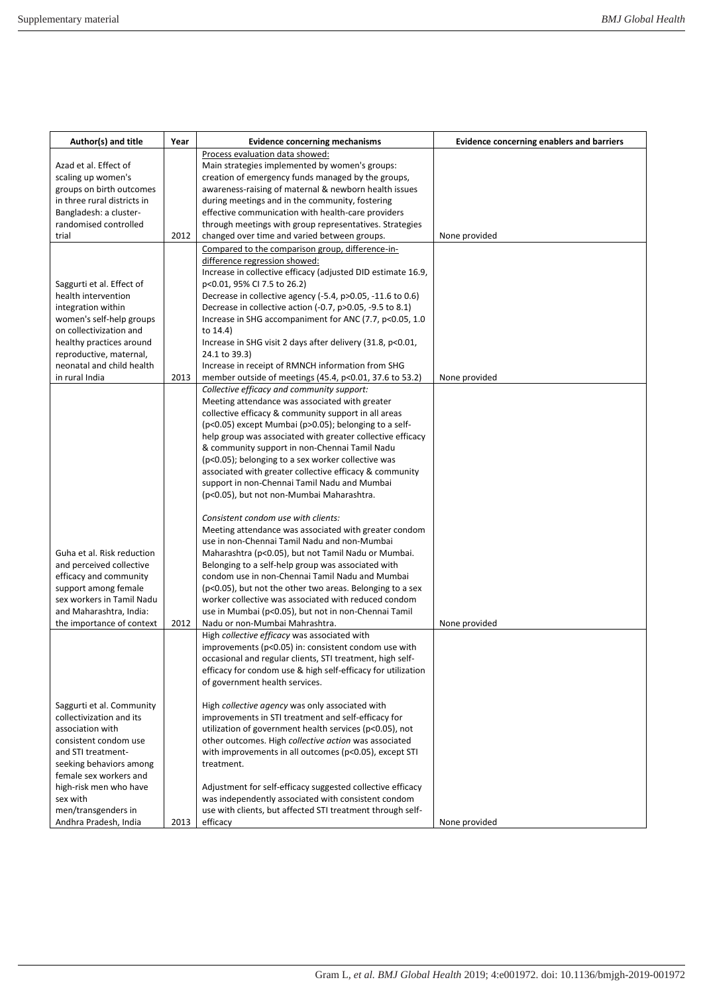| Author(s) and title         | Year | <b>Evidence concerning mechanisms</b>                                                         | <b>Evidence concerning enablers and barriers</b> |
|-----------------------------|------|-----------------------------------------------------------------------------------------------|--------------------------------------------------|
|                             |      | Process evaluation data showed:                                                               |                                                  |
| Azad et al. Effect of       |      | Main strategies implemented by women's groups:                                                |                                                  |
| scaling up women's          |      | creation of emergency funds managed by the groups,                                            |                                                  |
| groups on birth outcomes    |      | awareness-raising of maternal & newborn health issues                                         |                                                  |
| in three rural districts in |      | during meetings and in the community, fostering                                               |                                                  |
| Bangladesh: a cluster-      |      | effective communication with health-care providers                                            |                                                  |
| randomised controlled       |      | through meetings with group representatives. Strategies                                       |                                                  |
| trial                       | 2012 | changed over time and varied between groups.                                                  | None provided                                    |
|                             |      | Compared to the comparison group, difference-in-                                              |                                                  |
|                             |      | difference regression showed:<br>Increase in collective efficacy (adjusted DID estimate 16.9, |                                                  |
| Saggurti et al. Effect of   |      | p<0.01, 95% CI 7.5 to 26.2)                                                                   |                                                  |
| health intervention         |      | Decrease in collective agency (-5.4, p>0.05, -11.6 to 0.6)                                    |                                                  |
| integration within          |      | Decrease in collective action (-0.7, p>0.05, -9.5 to 8.1)                                     |                                                  |
| women's self-help groups    |      | Increase in SHG accompaniment for ANC (7.7, p<0.05, 1.0                                       |                                                  |
| on collectivization and     |      | to 14.4)                                                                                      |                                                  |
| healthy practices around    |      | Increase in SHG visit 2 days after delivery (31.8, p<0.01,                                    |                                                  |
| reproductive, maternal,     |      | 24.1 to 39.3)                                                                                 |                                                  |
| neonatal and child health   |      | Increase in receipt of RMNCH information from SHG                                             |                                                  |
| in rural India              | 2013 | member outside of meetings (45.4, p<0.01, 37.6 to 53.2)                                       | None provided                                    |
|                             |      | Collective efficacy and community support:                                                    |                                                  |
|                             |      | Meeting attendance was associated with greater                                                |                                                  |
|                             |      | collective efficacy & community support in all areas                                          |                                                  |
|                             |      | (p<0.05) except Mumbai (p>0.05); belonging to a self-                                         |                                                  |
|                             |      | help group was associated with greater collective efficacy                                    |                                                  |
|                             |      | & community support in non-Chennai Tamil Nadu                                                 |                                                  |
|                             |      | (p<0.05); belonging to a sex worker collective was                                            |                                                  |
|                             |      | associated with greater collective efficacy & community                                       |                                                  |
|                             |      | support in non-Chennai Tamil Nadu and Mumbai                                                  |                                                  |
|                             |      | (p<0.05), but not non-Mumbai Maharashtra.                                                     |                                                  |
|                             |      | Consistent condom use with clients:                                                           |                                                  |
|                             |      | Meeting attendance was associated with greater condom                                         |                                                  |
|                             |      | use in non-Chennai Tamil Nadu and non-Mumbai                                                  |                                                  |
| Guha et al. Risk reduction  |      | Maharashtra (p<0.05), but not Tamil Nadu or Mumbai.                                           |                                                  |
| and perceived collective    |      | Belonging to a self-help group was associated with                                            |                                                  |
| efficacy and community      |      | condom use in non-Chennai Tamil Nadu and Mumbai                                               |                                                  |
| support among female        |      | (p<0.05), but not the other two areas. Belonging to a sex                                     |                                                  |
| sex workers in Tamil Nadu   |      | worker collective was associated with reduced condom                                          |                                                  |
| and Maharashtra, India:     |      | use in Mumbai (p<0.05), but not in non-Chennai Tamil                                          |                                                  |
| the importance of context   | 2012 | Nadu or non-Mumbai Mahrashtra.                                                                | None provided                                    |
|                             |      | High collective efficacy was associated with                                                  |                                                  |
|                             |      | improvements (p<0.05) in: consistent condom use with                                          |                                                  |
|                             |      | occasional and regular clients, STI treatment, high self-                                     |                                                  |
|                             |      | efficacy for condom use & high self-efficacy for utilization                                  |                                                  |
|                             |      | of government health services.                                                                |                                                  |
| Saggurti et al. Community   |      | High collective agency was only associated with                                               |                                                  |
| collectivization and its    |      | improvements in STI treatment and self-efficacy for                                           |                                                  |
| association with            |      | utilization of government health services (p<0.05), not                                       |                                                  |
| consistent condom use       |      | other outcomes. High collective action was associated                                         |                                                  |
| and STI treatment-          |      | with improvements in all outcomes (p<0.05), except STI                                        |                                                  |
| seeking behaviors among     |      | treatment.                                                                                    |                                                  |
| female sex workers and      |      |                                                                                               |                                                  |
| high-risk men who have      |      | Adjustment for self-efficacy suggested collective efficacy                                    |                                                  |
| sex with                    |      | was independently associated with consistent condom                                           |                                                  |
| men/transgenders in         |      | use with clients, but affected STI treatment through self-                                    |                                                  |
| Andhra Pradesh, India       | 2013 | efficacy                                                                                      | None provided                                    |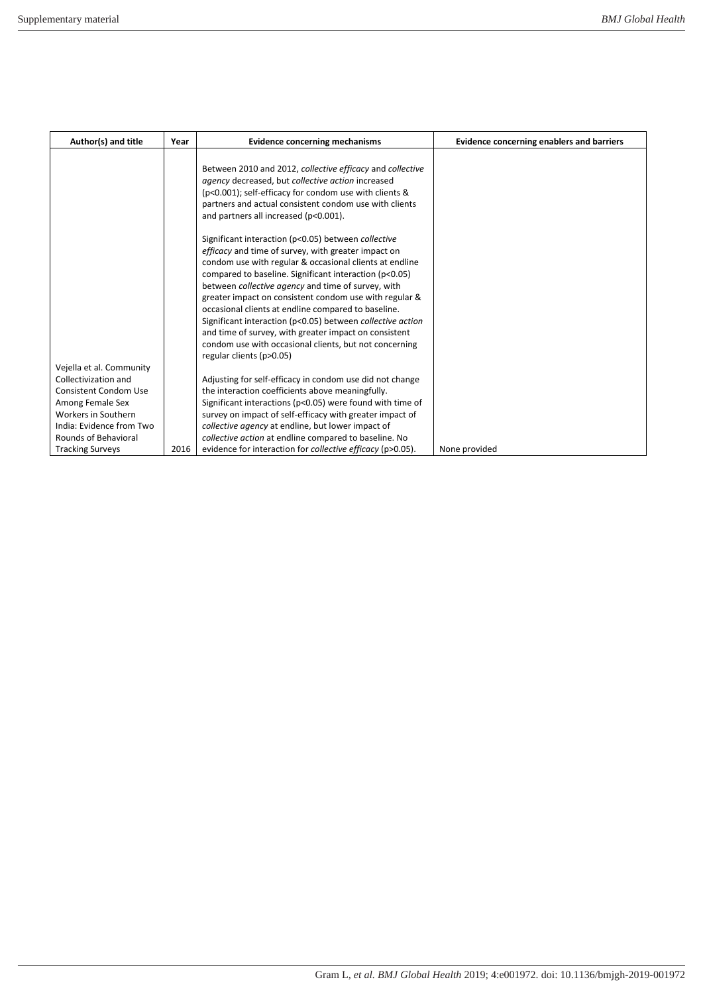| Author(s) and title                              | Year | <b>Evidence concerning mechanisms</b>                                                                                                                                                                                                                                       | <b>Evidence concerning enablers and barriers</b> |
|--------------------------------------------------|------|-----------------------------------------------------------------------------------------------------------------------------------------------------------------------------------------------------------------------------------------------------------------------------|--------------------------------------------------|
|                                                  |      | Between 2010 and 2012, collective efficacy and collective<br>agency decreased, but collective action increased<br>(p<0.001); self-efficacy for condom use with clients &<br>partners and actual consistent condom use with clients<br>and partners all increased (p<0.001). |                                                  |
|                                                  |      | Significant interaction (p<0.05) between collective                                                                                                                                                                                                                         |                                                  |
|                                                  |      | efficacy and time of survey, with greater impact on<br>condom use with regular & occasional clients at endline                                                                                                                                                              |                                                  |
|                                                  |      | compared to baseline. Significant interaction (p<0.05)                                                                                                                                                                                                                      |                                                  |
|                                                  |      | between collective agency and time of survey, with                                                                                                                                                                                                                          |                                                  |
|                                                  |      | greater impact on consistent condom use with regular &                                                                                                                                                                                                                      |                                                  |
|                                                  |      | occasional clients at endline compared to baseline.<br>Significant interaction (p<0.05) between collective action                                                                                                                                                           |                                                  |
|                                                  |      | and time of survey, with greater impact on consistent                                                                                                                                                                                                                       |                                                  |
|                                                  |      | condom use with occasional clients, but not concerning                                                                                                                                                                                                                      |                                                  |
|                                                  |      | regular clients (p>0.05)                                                                                                                                                                                                                                                    |                                                  |
| Vejella et al. Community<br>Collectivization and |      |                                                                                                                                                                                                                                                                             |                                                  |
| <b>Consistent Condom Use</b>                     |      | Adjusting for self-efficacy in condom use did not change<br>the interaction coefficients above meaningfully.                                                                                                                                                                |                                                  |
| Among Female Sex                                 |      | Significant interactions ( $p<0.05$ ) were found with time of                                                                                                                                                                                                               |                                                  |
| Workers in Southern                              |      | survey on impact of self-efficacy with greater impact of                                                                                                                                                                                                                    |                                                  |
| India: Evidence from Two                         |      | collective agency at endline, but lower impact of                                                                                                                                                                                                                           |                                                  |
| Rounds of Behavioral                             |      | collective action at endline compared to baseline. No                                                                                                                                                                                                                       |                                                  |
| <b>Tracking Surveys</b>                          | 2016 | evidence for interaction for collective efficacy (p>0.05).                                                                                                                                                                                                                  | None provided                                    |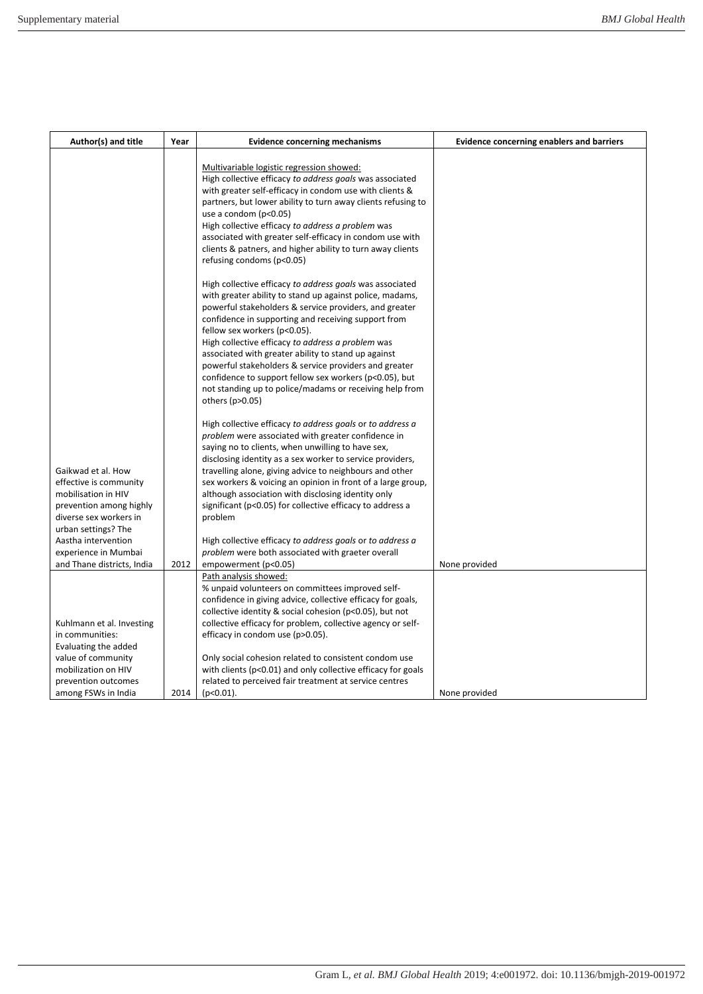| Author(s) and title                            | Year | <b>Evidence concerning mechanisms</b>                                                                                                                            | <b>Evidence concerning enablers and barriers</b> |
|------------------------------------------------|------|------------------------------------------------------------------------------------------------------------------------------------------------------------------|--------------------------------------------------|
|                                                |      | Multivariable logistic regression showed:<br>High collective efficacy to address goals was associated<br>with greater self-efficacy in condom use with clients & |                                                  |
|                                                |      | partners, but lower ability to turn away clients refusing to<br>use a condom $(p<0.05)$                                                                          |                                                  |
|                                                |      | High collective efficacy to address a problem was                                                                                                                |                                                  |
|                                                |      | associated with greater self-efficacy in condom use with<br>clients & patners, and higher ability to turn away clients                                           |                                                  |
|                                                |      | refusing condoms (p<0.05)                                                                                                                                        |                                                  |
|                                                |      | High collective efficacy to address goals was associated                                                                                                         |                                                  |
|                                                |      | with greater ability to stand up against police, madams,<br>powerful stakeholders & service providers, and greater                                               |                                                  |
|                                                |      | confidence in supporting and receiving support from                                                                                                              |                                                  |
|                                                |      | fellow sex workers (p<0.05).<br>High collective efficacy to address a problem was                                                                                |                                                  |
|                                                |      | associated with greater ability to stand up against                                                                                                              |                                                  |
|                                                |      | powerful stakeholders & service providers and greater                                                                                                            |                                                  |
|                                                |      | confidence to support fellow sex workers (p<0.05), but<br>not standing up to police/madams or receiving help from                                                |                                                  |
|                                                |      | others (p>0.05)                                                                                                                                                  |                                                  |
|                                                |      | High collective efficacy to address goals or to address a<br>problem were associated with greater confidence in                                                  |                                                  |
|                                                |      | saying no to clients, when unwilling to have sex,<br>disclosing identity as a sex worker to service providers,                                                   |                                                  |
| Gaikwad et al. How                             |      | travelling alone, giving advice to neighbours and other                                                                                                          |                                                  |
| effective is community                         |      | sex workers & voicing an opinion in front of a large group,                                                                                                      |                                                  |
| mobilisation in HIV<br>prevention among highly |      | although association with disclosing identity only<br>significant (p<0.05) for collective efficacy to address a                                                  |                                                  |
| diverse sex workers in                         |      | problem                                                                                                                                                          |                                                  |
| urban settings? The                            |      |                                                                                                                                                                  |                                                  |
| Aastha intervention<br>experience in Mumbai    |      | High collective efficacy to address goals or to address a<br>problem were both associated with graeter overall                                                   |                                                  |
| and Thane districts, India                     | 2012 | empowerment (p<0.05)                                                                                                                                             | None provided                                    |
|                                                |      | Path analysis showed:                                                                                                                                            |                                                  |
|                                                |      | % unpaid volunteers on committees improved self-                                                                                                                 |                                                  |
|                                                |      | confidence in giving advice, collective efficacy for goals,<br>collective identity & social cohesion (p<0.05), but not                                           |                                                  |
| Kuhlmann et al. Investing                      |      | collective efficacy for problem, collective agency or self-                                                                                                      |                                                  |
| in communities:                                |      | efficacy in condom use (p>0.05).                                                                                                                                 |                                                  |
| Evaluating the added                           |      |                                                                                                                                                                  |                                                  |
| value of community                             |      | Only social cohesion related to consistent condom use                                                                                                            |                                                  |
| mobilization on HIV                            |      | with clients ( $p<0.01$ ) and only collective efficacy for goals                                                                                                 |                                                  |
| prevention outcomes                            |      | related to perceived fair treatment at service centres                                                                                                           |                                                  |
| among FSWs in India                            | 2014 | $(p<0.01)$ .                                                                                                                                                     | None provided                                    |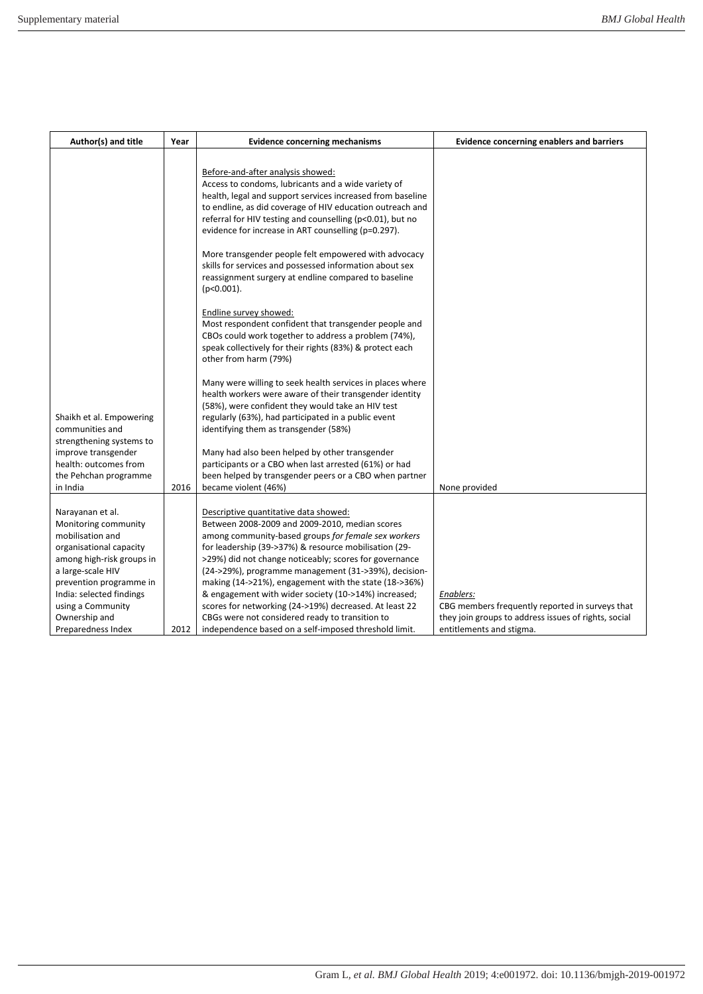| Author(s) and title                                                                                                                                                  | Year | <b>Evidence concerning mechanisms</b>                                                                                                                                                                                                                                                                                                                                              | <b>Evidence concerning enablers and barriers</b>                                                                                                 |
|----------------------------------------------------------------------------------------------------------------------------------------------------------------------|------|------------------------------------------------------------------------------------------------------------------------------------------------------------------------------------------------------------------------------------------------------------------------------------------------------------------------------------------------------------------------------------|--------------------------------------------------------------------------------------------------------------------------------------------------|
|                                                                                                                                                                      |      | Before-and-after analysis showed:<br>Access to condoms, lubricants and a wide variety of<br>health, legal and support services increased from baseline<br>to endline, as did coverage of HIV education outreach and<br>referral for HIV testing and counselling (p<0.01), but no<br>evidence for increase in ART counselling (p=0.297).                                            |                                                                                                                                                  |
|                                                                                                                                                                      |      | More transgender people felt empowered with advocacy<br>skills for services and possessed information about sex<br>reassignment surgery at endline compared to baseline<br>$(p<0.001)$ .                                                                                                                                                                                           |                                                                                                                                                  |
|                                                                                                                                                                      |      | Endline survey showed:<br>Most respondent confident that transgender people and<br>CBOs could work together to address a problem (74%),<br>speak collectively for their rights (83%) & protect each<br>other from harm (79%)                                                                                                                                                       |                                                                                                                                                  |
| Shaikh et al. Empowering<br>communities and<br>strengthening systems to                                                                                              |      | Many were willing to seek health services in places where<br>health workers were aware of their transgender identity<br>(58%), were confident they would take an HIV test<br>regularly (63%), had participated in a public event<br>identifying them as transgender (58%)                                                                                                          |                                                                                                                                                  |
| improve transgender<br>health: outcomes from<br>the Pehchan programme<br>in India                                                                                    | 2016 | Many had also been helped by other transgender<br>participants or a CBO when last arrested (61%) or had<br>been helped by transgender peers or a CBO when partner<br>became violent (46%)                                                                                                                                                                                          | None provided                                                                                                                                    |
| Narayanan et al.<br>Monitoring community<br>mobilisation and<br>organisational capacity<br>among high-risk groups in<br>a large-scale HIV<br>prevention programme in |      | Descriptive quantitative data showed:<br>Between 2008-2009 and 2009-2010, median scores<br>among community-based groups for female sex workers<br>for leadership (39->37%) & resource mobilisation (29-<br>>29%) did not change noticeably; scores for governance<br>(24->29%), programme management (31->39%), decision-<br>making (14->21%), engagement with the state (18->36%) |                                                                                                                                                  |
| India: selected findings<br>using a Community<br>Ownership and<br>Preparedness Index                                                                                 | 2012 | & engagement with wider society (10->14%) increased;<br>scores for networking (24->19%) decreased. At least 22<br>CBGs were not considered ready to transition to<br>independence based on a self-imposed threshold limit.                                                                                                                                                         | Enablers:<br>CBG members frequently reported in surveys that<br>they join groups to address issues of rights, social<br>entitlements and stigma. |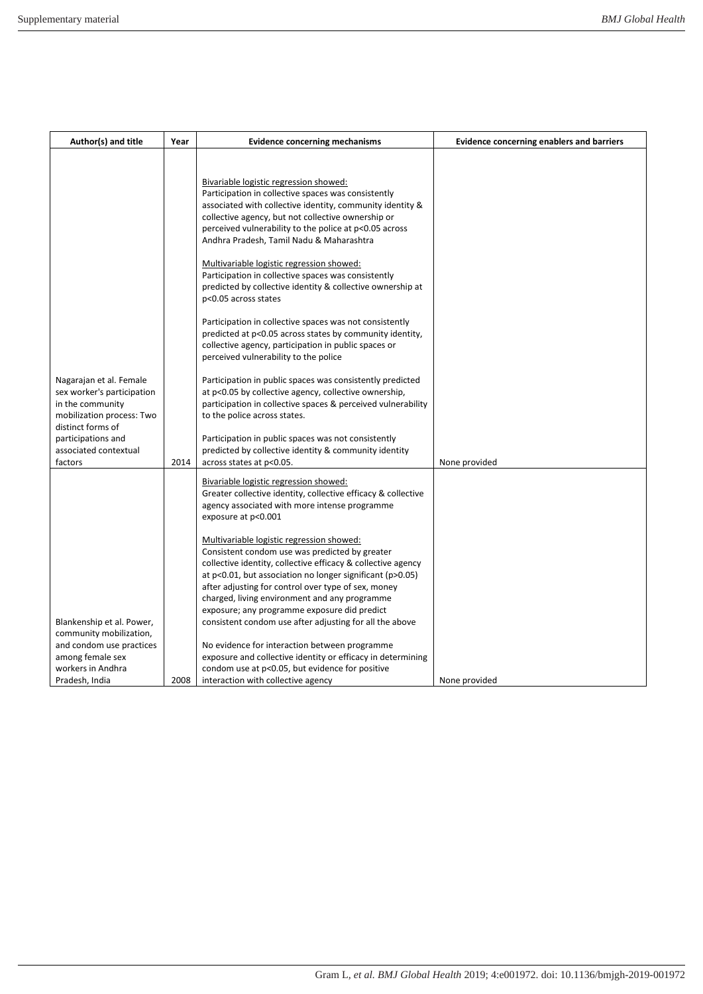| Author(s) and title                                                                                                         | Year | <b>Evidence concerning mechanisms</b>                                                                                                                                                                                                                                                                                                                                                                                                                                                                                                                                                                                                                                                                                                                                                                                                                                                                                                                          | <b>Evidence concerning enablers and barriers</b> |
|-----------------------------------------------------------------------------------------------------------------------------|------|----------------------------------------------------------------------------------------------------------------------------------------------------------------------------------------------------------------------------------------------------------------------------------------------------------------------------------------------------------------------------------------------------------------------------------------------------------------------------------------------------------------------------------------------------------------------------------------------------------------------------------------------------------------------------------------------------------------------------------------------------------------------------------------------------------------------------------------------------------------------------------------------------------------------------------------------------------------|--------------------------------------------------|
| Nagarajan et al. Female<br>sex worker's participation<br>in the community<br>mobilization process: Two<br>distinct forms of |      | Bivariable logistic regression showed:<br>Participation in collective spaces was consistently<br>associated with collective identity, community identity &<br>collective agency, but not collective ownership or<br>perceived vulnerability to the police at p<0.05 across<br>Andhra Pradesh, Tamil Nadu & Maharashtra<br>Multivariable logistic regression showed:<br>Participation in collective spaces was consistently<br>predicted by collective identity & collective ownership at<br>p<0.05 across states<br>Participation in collective spaces was not consistently<br>predicted at p<0.05 across states by community identity,<br>collective agency, participation in public spaces or<br>perceived vulnerability to the police<br>Participation in public spaces was consistently predicted<br>at p<0.05 by collective agency, collective ownership,<br>participation in collective spaces & perceived vulnerability<br>to the police across states. |                                                  |
| participations and<br>associated contextual<br>factors                                                                      |      | Participation in public spaces was not consistently<br>predicted by collective identity & community identity                                                                                                                                                                                                                                                                                                                                                                                                                                                                                                                                                                                                                                                                                                                                                                                                                                                   |                                                  |
|                                                                                                                             | 2014 | across states at p<0.05.<br>Bivariable logistic regression showed:<br>Greater collective identity, collective efficacy & collective<br>agency associated with more intense programme<br>exposure at p<0.001                                                                                                                                                                                                                                                                                                                                                                                                                                                                                                                                                                                                                                                                                                                                                    | None provided                                    |
| Blankenship et al. Power,<br>community mobilization,<br>and condom use practices<br>among female sex                        |      | Multivariable logistic regression showed:<br>Consistent condom use was predicted by greater<br>collective identity, collective efficacy & collective agency<br>at $p<0.01$ , but association no longer significant ( $p>0.05$ )<br>after adjusting for control over type of sex, money<br>charged, living environment and any programme<br>exposure; any programme exposure did predict<br>consistent condom use after adjusting for all the above<br>No evidence for interaction between programme<br>exposure and collective identity or efficacy in determining                                                                                                                                                                                                                                                                                                                                                                                             |                                                  |
| workers in Andhra<br>Pradesh, India                                                                                         | 2008 | condom use at p<0.05, but evidence for positive<br>interaction with collective agency                                                                                                                                                                                                                                                                                                                                                                                                                                                                                                                                                                                                                                                                                                                                                                                                                                                                          | None provided                                    |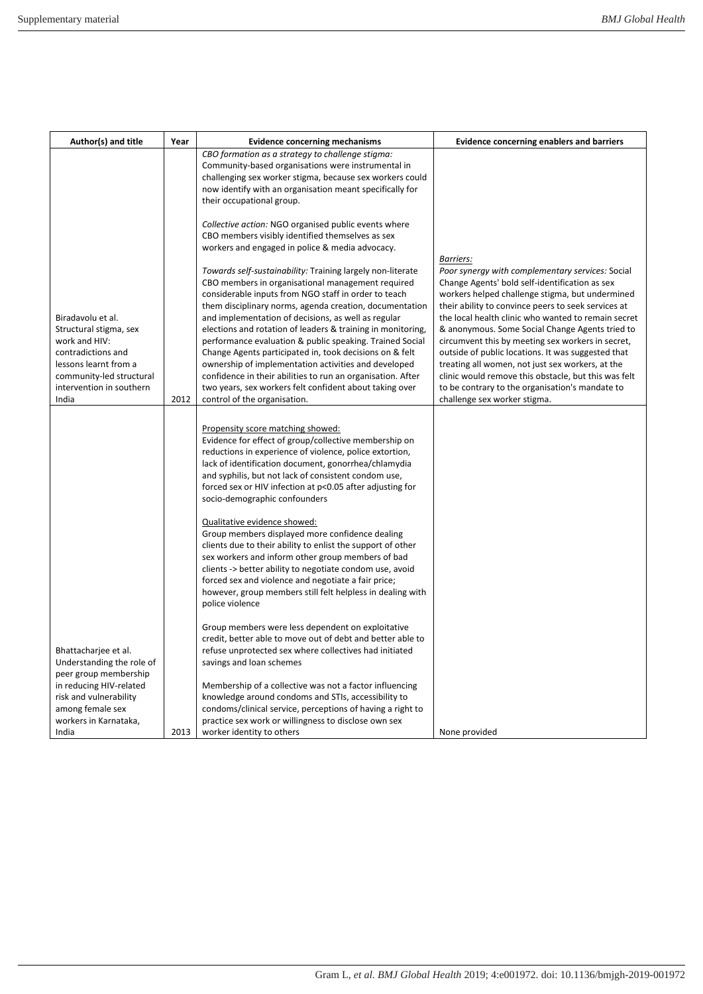| Author(s) and title                                                                                                                                                 | Year | <b>Evidence concerning mechanisms</b>                                                                                                                                                                                                                                                                                                                                                                                                                                                                                                                 | <b>Evidence concerning enablers and barriers</b>                                                                                                                                                                                                                                                                                                                                 |
|---------------------------------------------------------------------------------------------------------------------------------------------------------------------|------|-------------------------------------------------------------------------------------------------------------------------------------------------------------------------------------------------------------------------------------------------------------------------------------------------------------------------------------------------------------------------------------------------------------------------------------------------------------------------------------------------------------------------------------------------------|----------------------------------------------------------------------------------------------------------------------------------------------------------------------------------------------------------------------------------------------------------------------------------------------------------------------------------------------------------------------------------|
|                                                                                                                                                                     |      | CBO formation as a strategy to challenge stigma:<br>Community-based organisations were instrumental in<br>challenging sex worker stigma, because sex workers could<br>now identify with an organisation meant specifically for<br>their occupational group.                                                                                                                                                                                                                                                                                           |                                                                                                                                                                                                                                                                                                                                                                                  |
|                                                                                                                                                                     |      | Collective action: NGO organised public events where<br>CBO members visibly identified themselves as sex<br>workers and engaged in police & media advocacy.<br>Towards self-sustainability: Training largely non-literate<br>CBO members in organisational management required<br>considerable inputs from NGO staff in order to teach<br>them disciplinary norms, agenda creation, documentation                                                                                                                                                     | Barriers:<br>Poor synergy with complementary services: Social<br>Change Agents' bold self-identification as sex<br>workers helped challenge stigma, but undermined<br>their ability to convince peers to seek services at                                                                                                                                                        |
| Biradavolu et al.<br>Structural stigma, sex<br>work and HIV:<br>contradictions and<br>lessons learnt from a<br>community-led structural<br>intervention in southern |      | and implementation of decisions, as well as regular<br>elections and rotation of leaders & training in monitoring,<br>performance evaluation & public speaking. Trained Social<br>Change Agents participated in, took decisions on & felt<br>ownership of implementation activities and developed<br>confidence in their abilities to run an organisation. After<br>two years, sex workers felt confident about taking over                                                                                                                           | the local health clinic who wanted to remain secret<br>& anonymous. Some Social Change Agents tried to<br>circumvent this by meeting sex workers in secret,<br>outside of public locations. It was suggested that<br>treating all women, not just sex workers, at the<br>clinic would remove this obstacle, but this was felt<br>to be contrary to the organisation's mandate to |
| India                                                                                                                                                               | 2012 | control of the organisation.<br>Propensity score matching showed:<br>Evidence for effect of group/collective membership on<br>reductions in experience of violence, police extortion,<br>lack of identification document, gonorrhea/chlamydia<br>and syphilis, but not lack of consistent condom use,<br>forced sex or HIV infection at p<0.05 after adjusting for<br>socio-demographic confounders<br>Qualitative evidence showed:<br>Group members displayed more confidence dealing<br>clients due to their ability to enlist the support of other | challenge sex worker stigma.                                                                                                                                                                                                                                                                                                                                                     |
|                                                                                                                                                                     |      | sex workers and inform other group members of bad<br>clients -> better ability to negotiate condom use, avoid<br>forced sex and violence and negotiate a fair price;<br>however, group members still felt helpless in dealing with<br>police violence                                                                                                                                                                                                                                                                                                 |                                                                                                                                                                                                                                                                                                                                                                                  |
| Bhattacharjee et al.<br>Understanding the role of<br>peer group membership<br>in reducing HIV-related<br>risk and vulnerability                                     |      | Group members were less dependent on exploitative<br>credit, better able to move out of debt and better able to<br>refuse unprotected sex where collectives had initiated<br>savings and loan schemes<br>Membership of a collective was not a factor influencing<br>knowledge around condoms and STIs, accessibility to                                                                                                                                                                                                                               |                                                                                                                                                                                                                                                                                                                                                                                  |
| among female sex<br>workers in Karnataka,<br>India                                                                                                                  | 2013 | condoms/clinical service, perceptions of having a right to<br>practice sex work or willingness to disclose own sex<br>worker identity to others                                                                                                                                                                                                                                                                                                                                                                                                       | None provided                                                                                                                                                                                                                                                                                                                                                                    |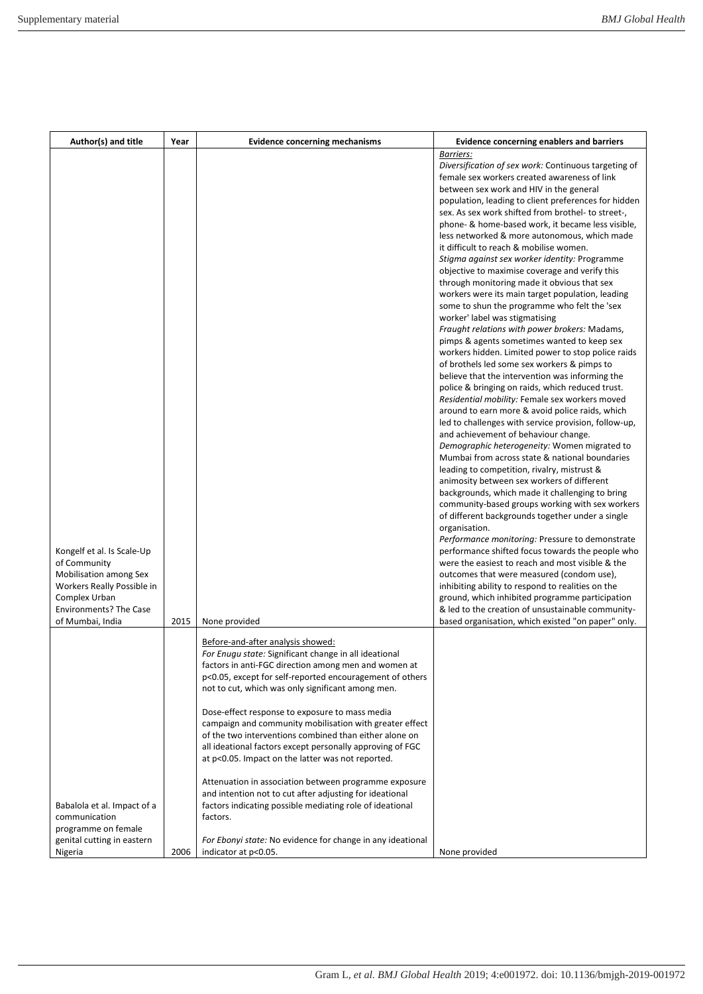| Author(s) and title                                                                                                                                  | Year | <b>Evidence concerning mechanisms</b>                                                                                                                                                                                                                                                 | <b>Evidence concerning enablers and barriers</b>                                                                                                                                                                                                                                                                                                                                                                                                                                                                                                                                                                                                                                                                                                                                                                                                                                                                                                                                                                                                                                                                                                                                                                                                                                                                                                                                                                                                                                                                                                                                                                                                                                                                                                                                                                                                                                                                                                                      |
|------------------------------------------------------------------------------------------------------------------------------------------------------|------|---------------------------------------------------------------------------------------------------------------------------------------------------------------------------------------------------------------------------------------------------------------------------------------|-----------------------------------------------------------------------------------------------------------------------------------------------------------------------------------------------------------------------------------------------------------------------------------------------------------------------------------------------------------------------------------------------------------------------------------------------------------------------------------------------------------------------------------------------------------------------------------------------------------------------------------------------------------------------------------------------------------------------------------------------------------------------------------------------------------------------------------------------------------------------------------------------------------------------------------------------------------------------------------------------------------------------------------------------------------------------------------------------------------------------------------------------------------------------------------------------------------------------------------------------------------------------------------------------------------------------------------------------------------------------------------------------------------------------------------------------------------------------------------------------------------------------------------------------------------------------------------------------------------------------------------------------------------------------------------------------------------------------------------------------------------------------------------------------------------------------------------------------------------------------------------------------------------------------------------------------------------------------|
| Kongelf et al. Is Scale-Up<br>of Community<br>Mobilisation among Sex<br>Workers Really Possible in<br>Complex Urban<br><b>Environments? The Case</b> |      |                                                                                                                                                                                                                                                                                       | Diversification of sex work: Continuous targeting of<br>female sex workers created awareness of link<br>between sex work and HIV in the general<br>population, leading to client preferences for hidden<br>sex. As sex work shifted from brothel- to street-,<br>phone- & home-based work, it became less visible,<br>less networked & more autonomous, which made<br>it difficult to reach & mobilise women.<br>Stigma against sex worker identity: Programme<br>objective to maximise coverage and verify this<br>through monitoring made it obvious that sex<br>workers were its main target population, leading<br>some to shun the programme who felt the 'sex<br>worker' label was stigmatising<br>Fraught relations with power brokers: Madams,<br>pimps & agents sometimes wanted to keep sex<br>workers hidden. Limited power to stop police raids<br>of brothels led some sex workers & pimps to<br>believe that the intervention was informing the<br>police & bringing on raids, which reduced trust.<br>Residential mobility: Female sex workers moved<br>around to earn more & avoid police raids, which<br>led to challenges with service provision, follow-up,<br>and achievement of behaviour change.<br>Demographic heterogeneity: Women migrated to<br>Mumbai from across state & national boundaries<br>leading to competition, rivalry, mistrust &<br>animosity between sex workers of different<br>backgrounds, which made it challenging to bring<br>community-based groups working with sex workers<br>of different backgrounds together under a single<br>organisation.<br>Performance monitoring: Pressure to demonstrate<br>performance shifted focus towards the people who<br>were the easiest to reach and most visible & the<br>outcomes that were measured (condom use),<br>inhibiting ability to respond to realities on the<br>ground, which inhibited programme participation<br>& led to the creation of unsustainable community- |
| of Mumbai, India                                                                                                                                     | 2015 | None provided<br>Before-and-after analysis showed:<br>For Enuqu state: Significant change in all ideational                                                                                                                                                                           | based organisation, which existed "on paper" only.                                                                                                                                                                                                                                                                                                                                                                                                                                                                                                                                                                                                                                                                                                                                                                                                                                                                                                                                                                                                                                                                                                                                                                                                                                                                                                                                                                                                                                                                                                                                                                                                                                                                                                                                                                                                                                                                                                                    |
|                                                                                                                                                      |      | factors in anti-FGC direction among men and women at<br>p<0.05, except for self-reported encouragement of others<br>not to cut, which was only significant among men.                                                                                                                 |                                                                                                                                                                                                                                                                                                                                                                                                                                                                                                                                                                                                                                                                                                                                                                                                                                                                                                                                                                                                                                                                                                                                                                                                                                                                                                                                                                                                                                                                                                                                                                                                                                                                                                                                                                                                                                                                                                                                                                       |
|                                                                                                                                                      |      | Dose-effect response to exposure to mass media<br>campaign and community mobilisation with greater effect<br>of the two interventions combined than either alone on<br>all ideational factors except personally approving of FGC<br>at p<0.05. Impact on the latter was not reported. |                                                                                                                                                                                                                                                                                                                                                                                                                                                                                                                                                                                                                                                                                                                                                                                                                                                                                                                                                                                                                                                                                                                                                                                                                                                                                                                                                                                                                                                                                                                                                                                                                                                                                                                                                                                                                                                                                                                                                                       |
| Babalola et al. Impact of a<br>communication<br>programme on female                                                                                  |      | Attenuation in association between programme exposure<br>and intention not to cut after adjusting for ideational<br>factors indicating possible mediating role of ideational<br>factors.                                                                                              |                                                                                                                                                                                                                                                                                                                                                                                                                                                                                                                                                                                                                                                                                                                                                                                                                                                                                                                                                                                                                                                                                                                                                                                                                                                                                                                                                                                                                                                                                                                                                                                                                                                                                                                                                                                                                                                                                                                                                                       |
| genital cutting in eastern<br>Nigeria                                                                                                                | 2006 | For Ebonyi state: No evidence for change in any ideational<br>indicator at p<0.05.                                                                                                                                                                                                    | None provided                                                                                                                                                                                                                                                                                                                                                                                                                                                                                                                                                                                                                                                                                                                                                                                                                                                                                                                                                                                                                                                                                                                                                                                                                                                                                                                                                                                                                                                                                                                                                                                                                                                                                                                                                                                                                                                                                                                                                         |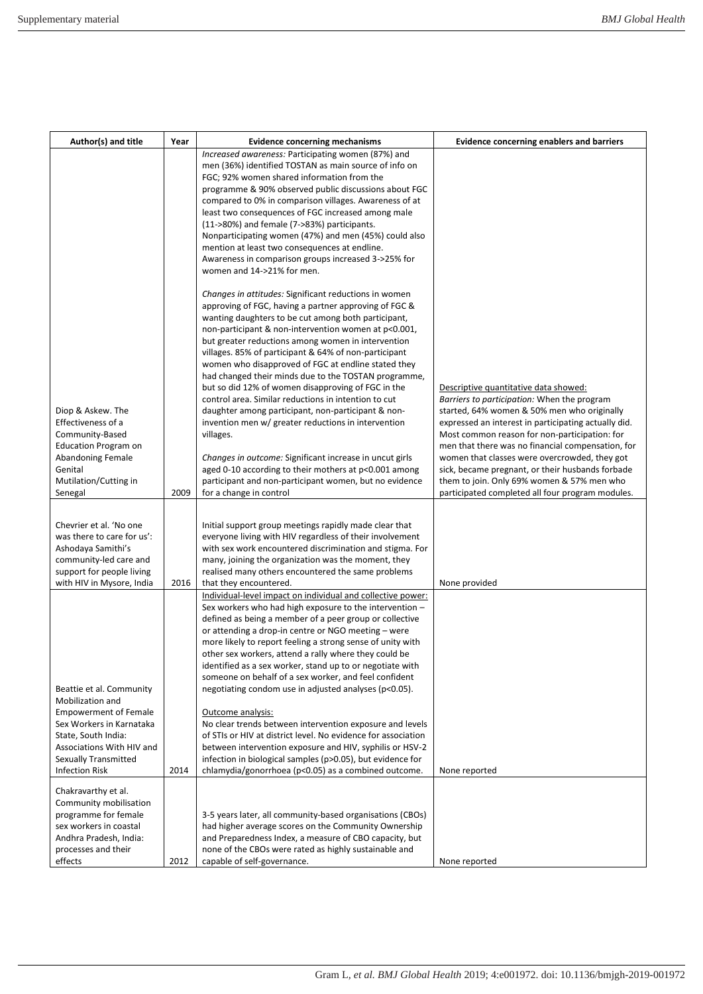| Author(s) and title                                  | Year | <b>Evidence concerning mechanisms</b>                                                                                                                                                                                         | <b>Evidence concerning enablers and barriers</b>                                                      |
|------------------------------------------------------|------|-------------------------------------------------------------------------------------------------------------------------------------------------------------------------------------------------------------------------------|-------------------------------------------------------------------------------------------------------|
|                                                      |      | Increased awareness: Participating women (87%) and                                                                                                                                                                            |                                                                                                       |
|                                                      |      | men (36%) identified TOSTAN as main source of info on                                                                                                                                                                         |                                                                                                       |
|                                                      |      | FGC; 92% women shared information from the                                                                                                                                                                                    |                                                                                                       |
|                                                      |      | programme & 90% observed public discussions about FGC                                                                                                                                                                         |                                                                                                       |
|                                                      |      | compared to 0% in comparison villages. Awareness of at                                                                                                                                                                        |                                                                                                       |
|                                                      |      | least two consequences of FGC increased among male                                                                                                                                                                            |                                                                                                       |
|                                                      |      | (11->80%) and female (7->83%) participants.<br>Nonparticipating women (47%) and men (45%) could also                                                                                                                          |                                                                                                       |
|                                                      |      | mention at least two consequences at endline.                                                                                                                                                                                 |                                                                                                       |
|                                                      |      | Awareness in comparison groups increased 3->25% for                                                                                                                                                                           |                                                                                                       |
|                                                      |      | women and 14->21% for men.                                                                                                                                                                                                    |                                                                                                       |
|                                                      |      | Changes in attitudes: Significant reductions in women<br>approving of FGC, having a partner approving of FGC &<br>wanting daughters to be cut among both participant,<br>non-participant & non-intervention women at p<0.001, |                                                                                                       |
|                                                      |      | but greater reductions among women in intervention<br>villages. 85% of participant & 64% of non-participant                                                                                                                   |                                                                                                       |
|                                                      |      | women who disapproved of FGC at endline stated they<br>had changed their minds due to the TOSTAN programme,                                                                                                                   |                                                                                                       |
|                                                      |      | but so did 12% of women disapproving of FGC in the<br>control area. Similar reductions in intention to cut                                                                                                                    | Descriptive quantitative data showed:<br>Barriers to participation: When the program                  |
| Diop & Askew. The                                    |      | daughter among participant, non-participant & non-                                                                                                                                                                            | started, 64% women & 50% men who originally                                                           |
| Effectiveness of a<br>Community-Based                |      | invention men w/ greater reductions in intervention<br>villages.                                                                                                                                                              | expressed an interest in participating actually did.<br>Most common reason for non-participation: for |
| <b>Education Program on</b>                          |      |                                                                                                                                                                                                                               | men that there was no financial compensation, for                                                     |
| <b>Abandoning Female</b>                             |      | Changes in outcome: Significant increase in uncut girls                                                                                                                                                                       | women that classes were overcrowded, they got                                                         |
| Genital                                              |      | aged 0-10 according to their mothers at p<0.001 among                                                                                                                                                                         | sick, became pregnant, or their husbands forbade                                                      |
| Mutilation/Cutting in                                |      | participant and non-participant women, but no evidence                                                                                                                                                                        | them to join. Only 69% women & 57% men who                                                            |
| Senegal                                              | 2009 | for a change in control                                                                                                                                                                                                       | participated completed all four program modules.                                                      |
|                                                      |      |                                                                                                                                                                                                                               |                                                                                                       |
| Chevrier et al. 'No one                              |      | Initial support group meetings rapidly made clear that                                                                                                                                                                        |                                                                                                       |
| was there to care for us':                           |      | everyone living with HIV regardless of their involvement                                                                                                                                                                      |                                                                                                       |
| Ashodaya Samithi's<br>community-led care and         |      | with sex work encountered discrimination and stigma. For                                                                                                                                                                      |                                                                                                       |
| support for people living                            |      | many, joining the organization was the moment, they<br>realised many others encountered the same problems                                                                                                                     |                                                                                                       |
| with HIV in Mysore, India                            | 2016 | that they encountered.                                                                                                                                                                                                        | None provided                                                                                         |
|                                                      |      | Individual-level impact on individual and collective power:                                                                                                                                                                   |                                                                                                       |
|                                                      |      | Sex workers who had high exposure to the intervention -                                                                                                                                                                       |                                                                                                       |
|                                                      |      | defined as being a member of a peer group or collective                                                                                                                                                                       |                                                                                                       |
|                                                      |      | or attending a drop-in centre or NGO meeting - were                                                                                                                                                                           |                                                                                                       |
|                                                      |      | more likely to report feeling a strong sense of unity with                                                                                                                                                                    |                                                                                                       |
|                                                      |      | other sex workers, attend a rally where they could be                                                                                                                                                                         |                                                                                                       |
|                                                      |      | identified as a sex worker, stand up to or negotiate with<br>someone on behalf of a sex worker, and feel confident                                                                                                            |                                                                                                       |
| Beattie et al. Community                             |      | negotiating condom use in adjusted analyses (p<0.05).                                                                                                                                                                         |                                                                                                       |
| Mobilization and                                     |      |                                                                                                                                                                                                                               |                                                                                                       |
| <b>Empowerment of Female</b>                         |      | <b>Outcome analysis:</b>                                                                                                                                                                                                      |                                                                                                       |
| Sex Workers in Karnataka                             |      | No clear trends between intervention exposure and levels                                                                                                                                                                      |                                                                                                       |
| State, South India:                                  |      | of STIs or HIV at district level. No evidence for association                                                                                                                                                                 |                                                                                                       |
| Associations With HIV and                            |      | between intervention exposure and HIV, syphilis or HSV-2                                                                                                                                                                      |                                                                                                       |
| <b>Sexually Transmitted</b><br><b>Infection Risk</b> | 2014 | infection in biological samples (p>0.05), but evidence for<br>chlamydia/gonorrhoea (p<0.05) as a combined outcome.                                                                                                            | None reported                                                                                         |
|                                                      |      |                                                                                                                                                                                                                               |                                                                                                       |
| Chakravarthy et al.                                  |      |                                                                                                                                                                                                                               |                                                                                                       |
| Community mobilisation                               |      |                                                                                                                                                                                                                               |                                                                                                       |
| programme for female                                 |      | 3-5 years later, all community-based organisations (CBOs)                                                                                                                                                                     |                                                                                                       |
| sex workers in coastal<br>Andhra Pradesh, India:     |      | had higher average scores on the Community Ownership<br>and Preparedness Index, a measure of CBO capacity, but                                                                                                                |                                                                                                       |
| processes and their                                  |      | none of the CBOs were rated as highly sustainable and                                                                                                                                                                         |                                                                                                       |
| effects                                              | 2012 | capable of self-governance.                                                                                                                                                                                                   | None reported                                                                                         |